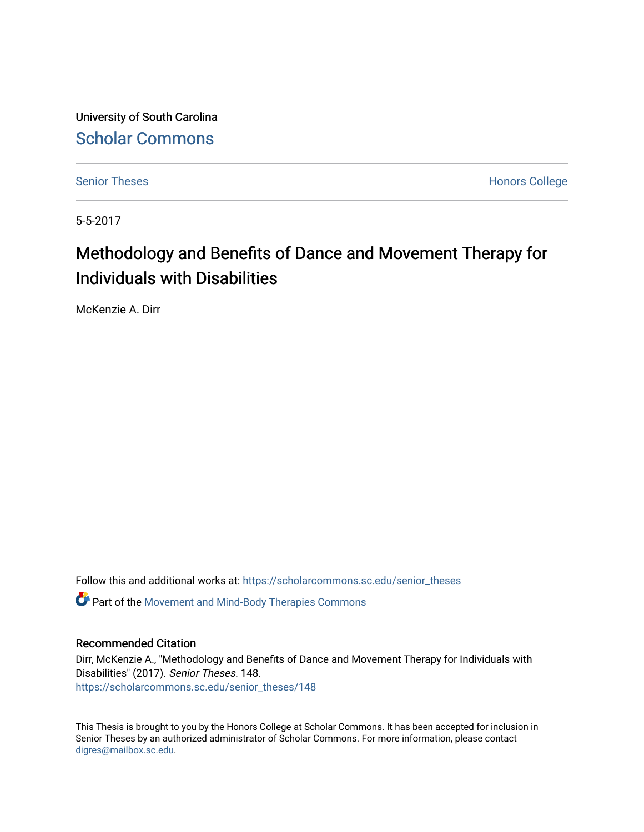University of South Carolina [Scholar Commons](https://scholarcommons.sc.edu/) 

[Senior Theses](https://scholarcommons.sc.edu/senior_theses) **Honors College** Honors College

5-5-2017

# Methodology and Benefits of Dance and Movement Therapy for Individuals with Disabilities

McKenzie A. Dirr

Follow this and additional works at: [https://scholarcommons.sc.edu/senior\\_theses](https://scholarcommons.sc.edu/senior_theses?utm_source=scholarcommons.sc.edu%2Fsenior_theses%2F148&utm_medium=PDF&utm_campaign=PDFCoverPages) 

**C** Part of the [Movement and Mind-Body Therapies Commons](http://network.bepress.com/hgg/discipline/751?utm_source=scholarcommons.sc.edu%2Fsenior_theses%2F148&utm_medium=PDF&utm_campaign=PDFCoverPages)

#### Recommended Citation

Dirr, McKenzie A., "Methodology and Benefits of Dance and Movement Therapy for Individuals with Disabilities" (2017). Senior Theses. 148. [https://scholarcommons.sc.edu/senior\\_theses/148](https://scholarcommons.sc.edu/senior_theses/148?utm_source=scholarcommons.sc.edu%2Fsenior_theses%2F148&utm_medium=PDF&utm_campaign=PDFCoverPages) 

This Thesis is brought to you by the Honors College at Scholar Commons. It has been accepted for inclusion in Senior Theses by an authorized administrator of Scholar Commons. For more information, please contact [digres@mailbox.sc.edu](mailto:digres@mailbox.sc.edu).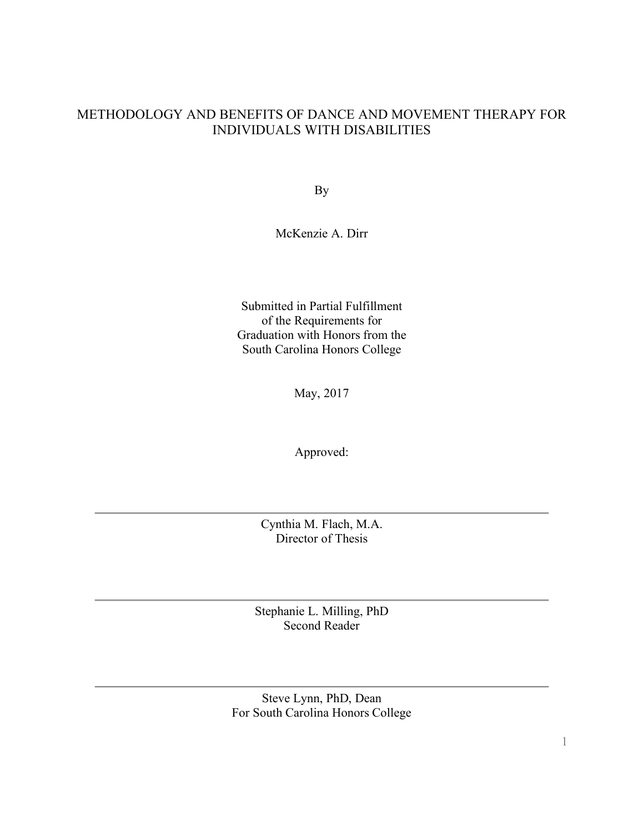# METHODOLOGY AND BENEFITS OF DANCE AND MOVEMENT THERAPY FOR INDIVIDUALS WITH DISABILITIES

By

# McKenzie A. Dirr

Submitted in Partial Fulfillment of the Requirements for Graduation with Honors from the South Carolina Honors College

May, 2017

Approved:

Cynthia M. Flach, M.A. Director of Thesis

Stephanie L. Milling, PhD Second Reader

Steve Lynn, PhD, Dean For South Carolina Honors College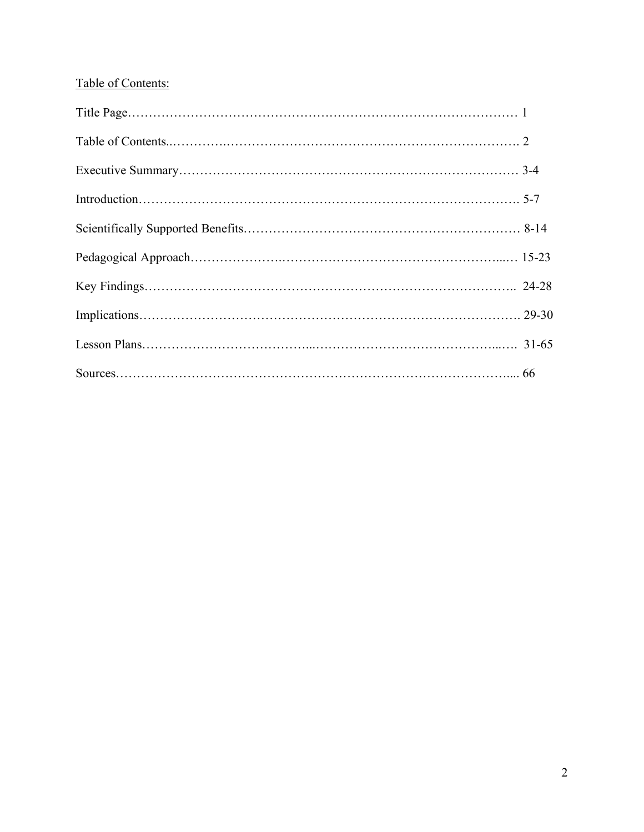# Table of Contents: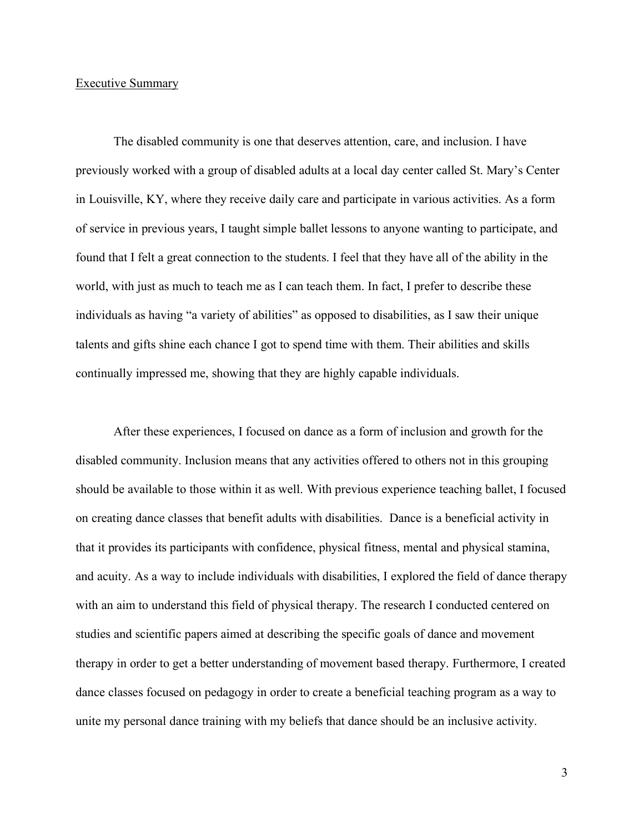#### Executive Summary

The disabled community is one that deserves attention, care, and inclusion. I have previously worked with a group of disabled adults at a local day center called St. Mary's Center in Louisville, KY, where they receive daily care and participate in various activities. As a form of service in previous years, I taught simple ballet lessons to anyone wanting to participate, and found that I felt a great connection to the students. I feel that they have all of the ability in the world, with just as much to teach me as I can teach them. In fact, I prefer to describe these individuals as having "a variety of abilities" as opposed to disabilities, as I saw their unique talents and gifts shine each chance I got to spend time with them. Their abilities and skills continually impressed me, showing that they are highly capable individuals.

After these experiences, I focused on dance as a form of inclusion and growth for the disabled community. Inclusion means that any activities offered to others not in this grouping should be available to those within it as well. With previous experience teaching ballet, I focused on creating dance classes that benefit adults with disabilities. Dance is a beneficial activity in that it provides its participants with confidence, physical fitness, mental and physical stamina, and acuity. As a way to include individuals with disabilities, I explored the field of dance therapy with an aim to understand this field of physical therapy. The research I conducted centered on studies and scientific papers aimed at describing the specific goals of dance and movement therapy in order to get a better understanding of movement based therapy. Furthermore, I created dance classes focused on pedagogy in order to create a beneficial teaching program as a way to unite my personal dance training with my beliefs that dance should be an inclusive activity.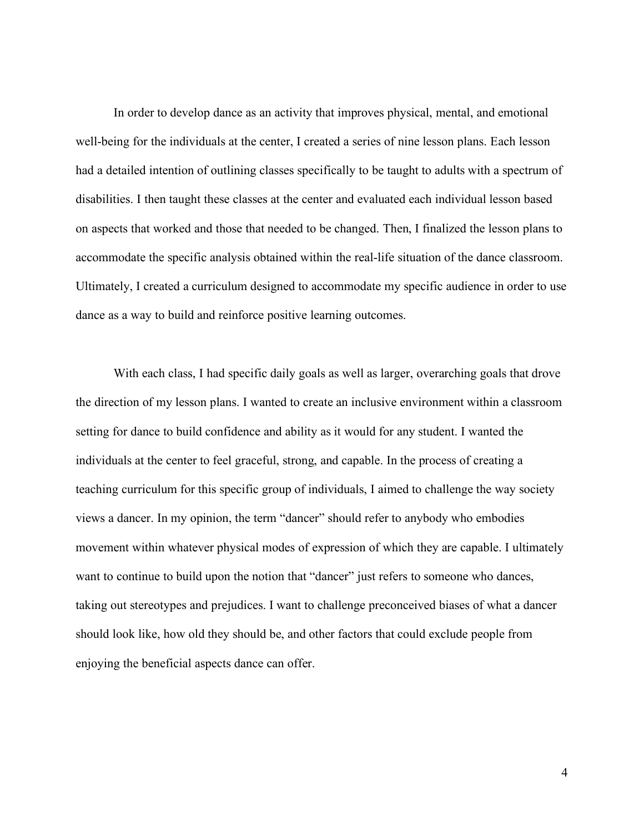In order to develop dance as an activity that improves physical, mental, and emotional well-being for the individuals at the center, I created a series of nine lesson plans. Each lesson had a detailed intention of outlining classes specifically to be taught to adults with a spectrum of disabilities. I then taught these classes at the center and evaluated each individual lesson based on aspects that worked and those that needed to be changed. Then, I finalized the lesson plans to accommodate the specific analysis obtained within the real-life situation of the dance classroom. Ultimately, I created a curriculum designed to accommodate my specific audience in order to use dance as a way to build and reinforce positive learning outcomes.

With each class, I had specific daily goals as well as larger, overarching goals that drove the direction of my lesson plans. I wanted to create an inclusive environment within a classroom setting for dance to build confidence and ability as it would for any student. I wanted the individuals at the center to feel graceful, strong, and capable. In the process of creating a teaching curriculum for this specific group of individuals, I aimed to challenge the way society views a dancer. In my opinion, the term "dancer" should refer to anybody who embodies movement within whatever physical modes of expression of which they are capable. I ultimately want to continue to build upon the notion that "dancer" just refers to someone who dances, taking out stereotypes and prejudices. I want to challenge preconceived biases of what a dancer should look like, how old they should be, and other factors that could exclude people from enjoying the beneficial aspects dance can offer.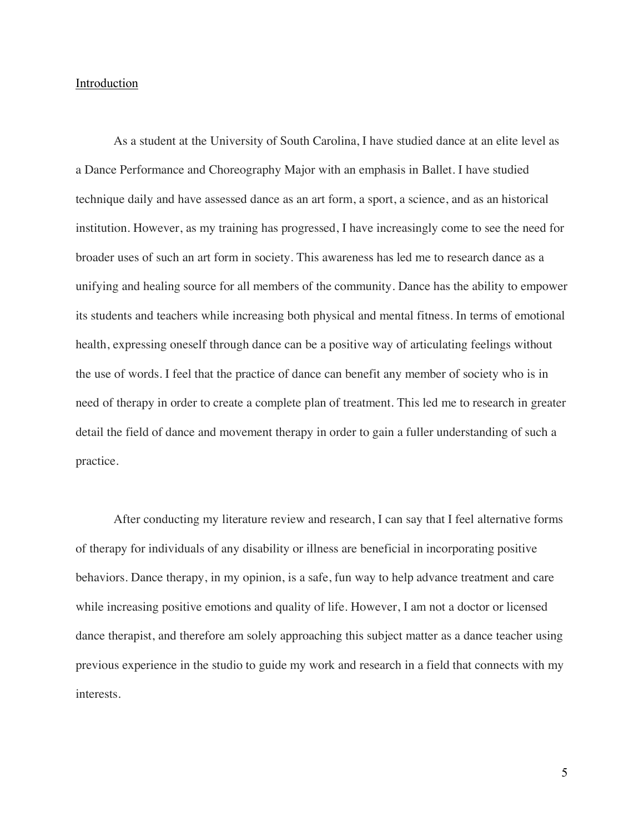#### Introduction

As a student at the University of South Carolina, I have studied dance at an elite level as a Dance Performance and Choreography Major with an emphasis in Ballet. I have studied technique daily and have assessed dance as an art form, a sport, a science, and as an historical institution. However, as my training has progressed, I have increasingly come to see the need for broader uses of such an art form in society. This awareness has led me to research dance as a unifying and healing source for all members of the community. Dance has the ability to empower its students and teachers while increasing both physical and mental fitness. In terms of emotional health, expressing oneself through dance can be a positive way of articulating feelings without the use of words. I feel that the practice of dance can benefit any member of society who is in need of therapy in order to create a complete plan of treatment. This led me to research in greater detail the field of dance and movement therapy in order to gain a fuller understanding of such a practice.

After conducting my literature review and research, I can say that I feel alternative forms of therapy for individuals of any disability or illness are beneficial in incorporating positive behaviors. Dance therapy, in my opinion, is a safe, fun way to help advance treatment and care while increasing positive emotions and quality of life. However, I am not a doctor or licensed dance therapist, and therefore am solely approaching this subject matter as a dance teacher using previous experience in the studio to guide my work and research in a field that connects with my interests.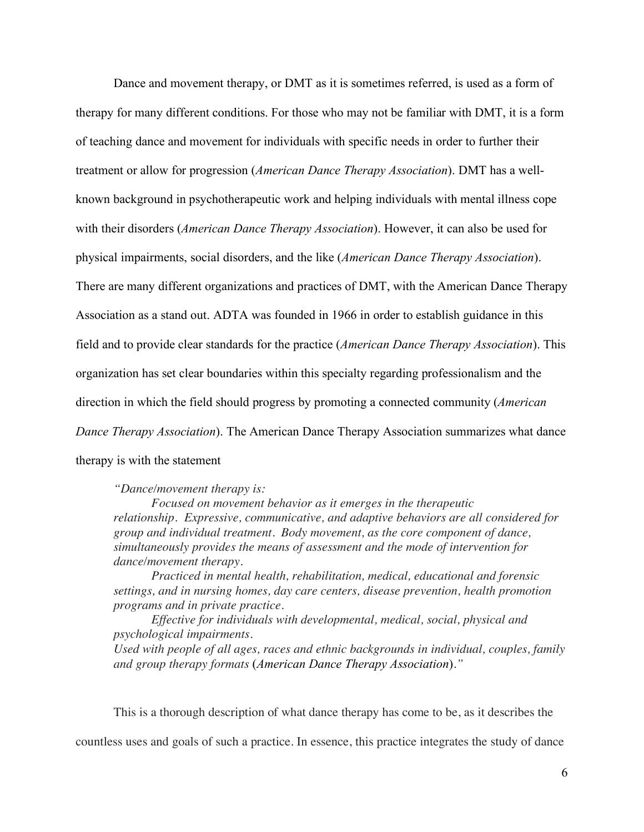Dance and movement therapy, or DMT as it is sometimes referred, is used as a form of therapy for many different conditions. For those who may not be familiar with DMT, it is a form of teaching dance and movement for individuals with specific needs in order to further their treatment or allow for progression (*American Dance Therapy Association*). DMT has a wellknown background in psychotherapeutic work and helping individuals with mental illness cope with their disorders (*American Dance Therapy Association*). However, it can also be used for physical impairments, social disorders, and the like (*American Dance Therapy Association*). There are many different organizations and practices of DMT, with the American Dance Therapy Association as a stand out. ADTA was founded in 1966 in order to establish guidance in this field and to provide clear standards for the practice (*American Dance Therapy Association*). This organization has set clear boundaries within this specialty regarding professionalism and the direction in which the field should progress by promoting a connected community (*American Dance Therapy Association*). The American Dance Therapy Association summarizes what dance therapy is with the statement

*"Dance/movement therapy is:*

*Focused on movement behavior as it emerges in the therapeutic relationship. Expressive, communicative, and adaptive behaviors are all considered for group and individual treatment. Body movement, as the core component of dance, simultaneously provides the means of assessment and the mode of intervention for dance/movement therapy.*

*Practiced in mental health, rehabilitation, medical, educational and forensic settings, and in nursing homes, day care centers, disease prevention, health promotion programs and in private practice.*

*Effective for individuals with developmental, medical, social, physical and psychological impairments.*

*Used with people of all ages, races and ethnic backgrounds in individual, couples, family and group therapy formats* (*American Dance Therapy Association*)*."*

This is a thorough description of what dance therapy has come to be, as it describes the

countless uses and goals of such a practice. In essence, this practice integrates the study of dance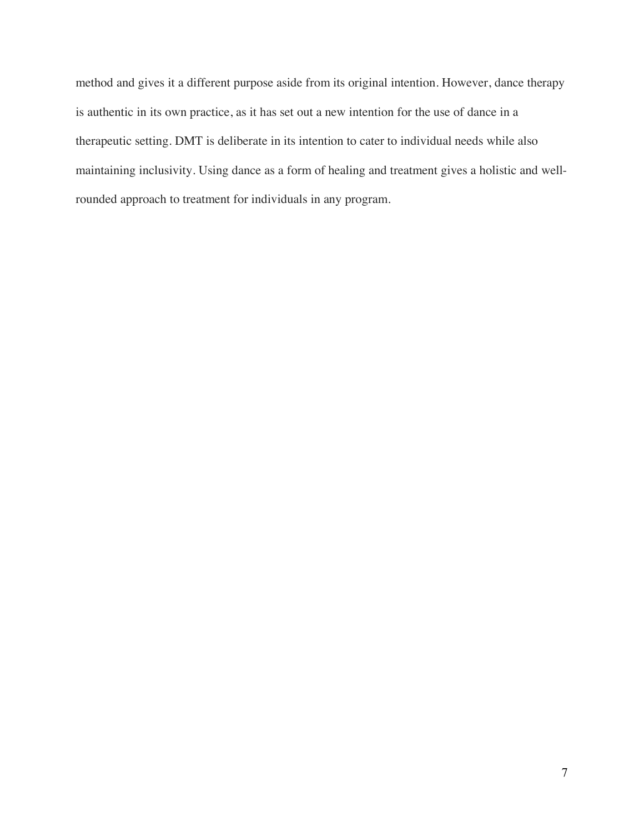method and gives it a different purpose aside from its original intention. However, dance therapy is authentic in its own practice, as it has set out a new intention for the use of dance in a therapeutic setting. DMT is deliberate in its intention to cater to individual needs while also maintaining inclusivity. Using dance as a form of healing and treatment gives a holistic and wellrounded approach to treatment for individuals in any program.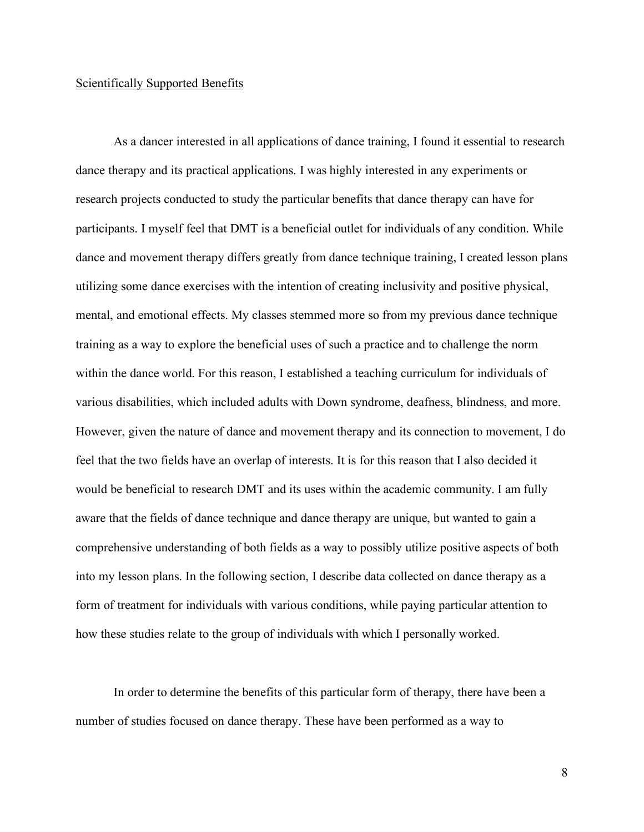#### Scientifically Supported Benefits

As a dancer interested in all applications of dance training, I found it essential to research dance therapy and its practical applications. I was highly interested in any experiments or research projects conducted to study the particular benefits that dance therapy can have for participants. I myself feel that DMT is a beneficial outlet for individuals of any condition. While dance and movement therapy differs greatly from dance technique training, I created lesson plans utilizing some dance exercises with the intention of creating inclusivity and positive physical, mental, and emotional effects. My classes stemmed more so from my previous dance technique training as a way to explore the beneficial uses of such a practice and to challenge the norm within the dance world. For this reason, I established a teaching curriculum for individuals of various disabilities, which included adults with Down syndrome, deafness, blindness, and more. However, given the nature of dance and movement therapy and its connection to movement, I do feel that the two fields have an overlap of interests. It is for this reason that I also decided it would be beneficial to research DMT and its uses within the academic community. I am fully aware that the fields of dance technique and dance therapy are unique, but wanted to gain a comprehensive understanding of both fields as a way to possibly utilize positive aspects of both into my lesson plans. In the following section, I describe data collected on dance therapy as a form of treatment for individuals with various conditions, while paying particular attention to how these studies relate to the group of individuals with which I personally worked.

In order to determine the benefits of this particular form of therapy, there have been a number of studies focused on dance therapy. These have been performed as a way to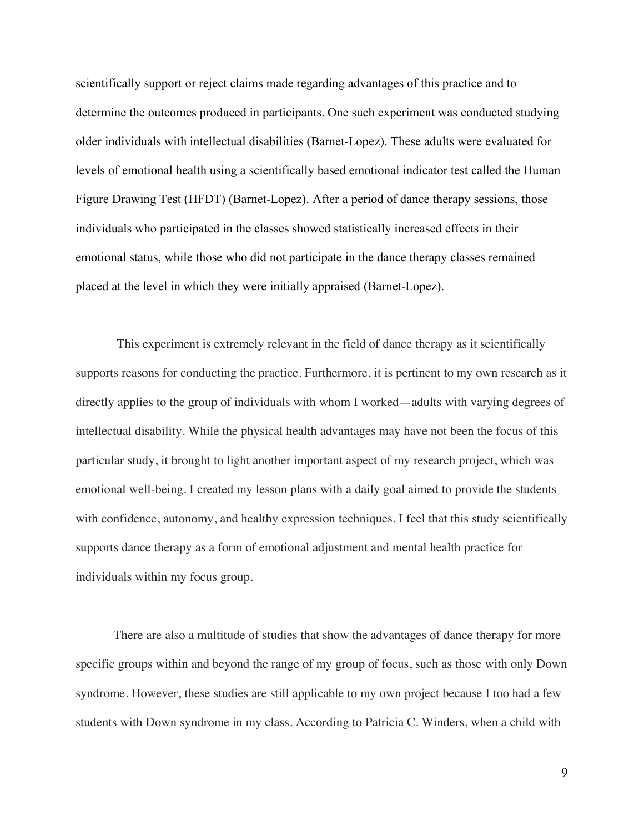scientifically support or reject claims made regarding advantages of this practice and to determine the outcomes produced in participants. One such experiment was conducted studying older individuals with intellectual disabilities (Barnet-Lopez). These adults were evaluated for levels of emotional health using a scientifically based emotional indicator test called the Human Figure Drawing Test (HFDT) (Barnet-Lopez). After a period of dance therapy sessions, those individuals who participated in the classes showed statistically increased effects in their emotional status, while those who did not participate in the dance therapy classes remained placed at the level in which they were initially appraised (Barnet-Lopez).

This experiment is extremely relevant in the field of dance therapy as it scientifically supports reasons for conducting the practice. Furthermore, it is pertinent to my own research as it directly applies to the group of individuals with whom I worked—adults with varying degrees of intellectual disability. While the physical health advantages may have not been the focus of this particular study, it brought to light another important aspect of my research project, which was emotional well-being. I created my lesson plans with a daily goal aimed to provide the students with confidence, autonomy, and healthy expression techniques. I feel that this study scientifically supports dance therapy as a form of emotional adjustment and mental health practice for individuals within my focus group.

There are also a multitude of studies that show the advantages of dance therapy for more specific groups within and beyond the range of my group of focus, such as those with only Down syndrome. However, these studies are still applicable to my own project because I too had a few students with Down syndrome in my class. According to Patricia C. Winders, when a child with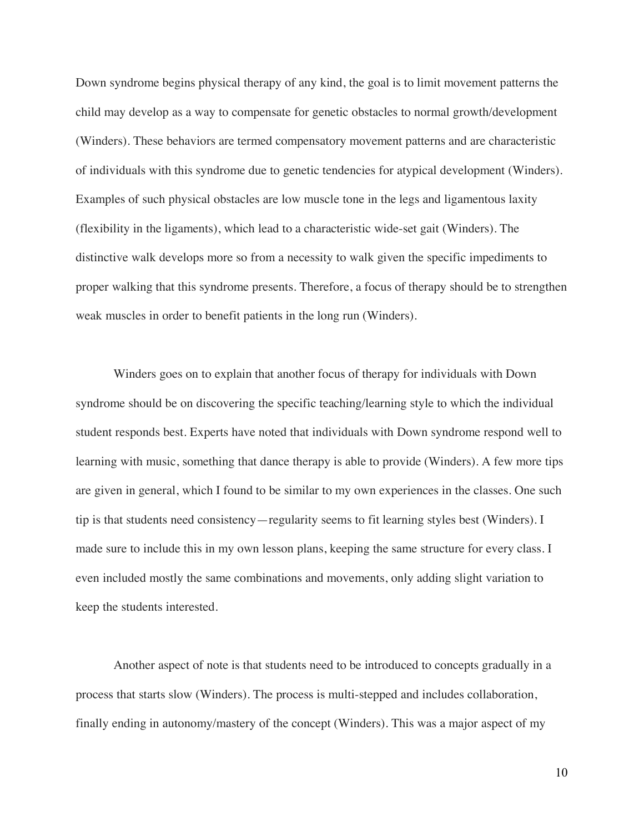Down syndrome begins physical therapy of any kind, the goal is to limit movement patterns the child may develop as a way to compensate for genetic obstacles to normal growth/development (Winders). These behaviors are termed compensatory movement patterns and are characteristic of individuals with this syndrome due to genetic tendencies for atypical development (Winders). Examples of such physical obstacles are low muscle tone in the legs and ligamentous laxity (flexibility in the ligaments), which lead to a characteristic wide-set gait (Winders). The distinctive walk develops more so from a necessity to walk given the specific impediments to proper walking that this syndrome presents. Therefore, a focus of therapy should be to strengthen weak muscles in order to benefit patients in the long run (Winders).

Winders goes on to explain that another focus of therapy for individuals with Down syndrome should be on discovering the specific teaching/learning style to which the individual student responds best. Experts have noted that individuals with Down syndrome respond well to learning with music, something that dance therapy is able to provide (Winders). A few more tips are given in general, which I found to be similar to my own experiences in the classes. One such tip is that students need consistency—regularity seems to fit learning styles best (Winders). I made sure to include this in my own lesson plans, keeping the same structure for every class. I even included mostly the same combinations and movements, only adding slight variation to keep the students interested.

Another aspect of note is that students need to be introduced to concepts gradually in a process that starts slow (Winders). The process is multi-stepped and includes collaboration, finally ending in autonomy/mastery of the concept (Winders). This was a major aspect of my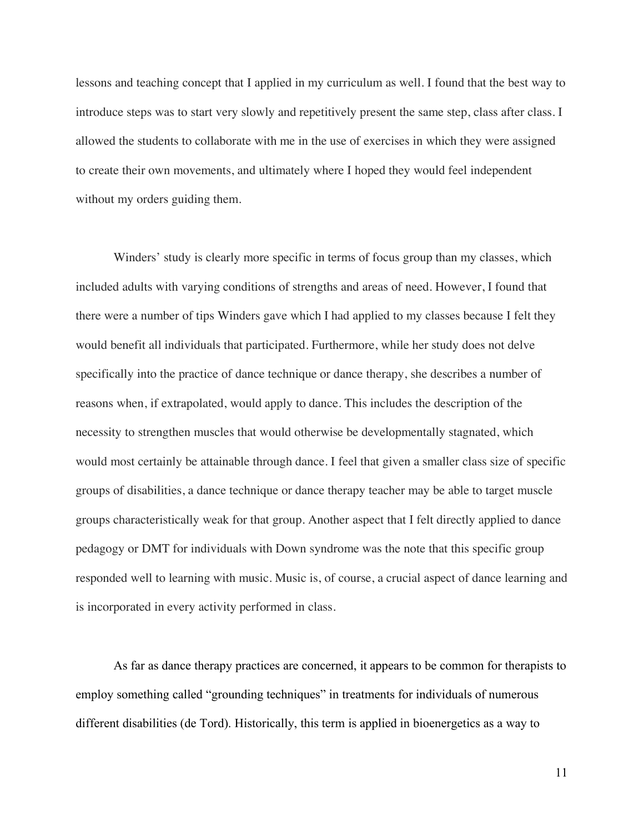lessons and teaching concept that I applied in my curriculum as well. I found that the best way to introduce steps was to start very slowly and repetitively present the same step, class after class. I allowed the students to collaborate with me in the use of exercises in which they were assigned to create their own movements, and ultimately where I hoped they would feel independent without my orders guiding them.

Winders' study is clearly more specific in terms of focus group than my classes, which included adults with varying conditions of strengths and areas of need. However, I found that there were a number of tips Winders gave which I had applied to my classes because I felt they would benefit all individuals that participated. Furthermore, while her study does not delve specifically into the practice of dance technique or dance therapy, she describes a number of reasons when, if extrapolated, would apply to dance. This includes the description of the necessity to strengthen muscles that would otherwise be developmentally stagnated, which would most certainly be attainable through dance. I feel that given a smaller class size of specific groups of disabilities, a dance technique or dance therapy teacher may be able to target muscle groups characteristically weak for that group. Another aspect that I felt directly applied to dance pedagogy or DMT for individuals with Down syndrome was the note that this specific group responded well to learning with music. Music is, of course, a crucial aspect of dance learning and is incorporated in every activity performed in class.

As far as dance therapy practices are concerned, it appears to be common for therapists to employ something called "grounding techniques" in treatments for individuals of numerous different disabilities (de Tord). Historically, this term is applied in bioenergetics as a way to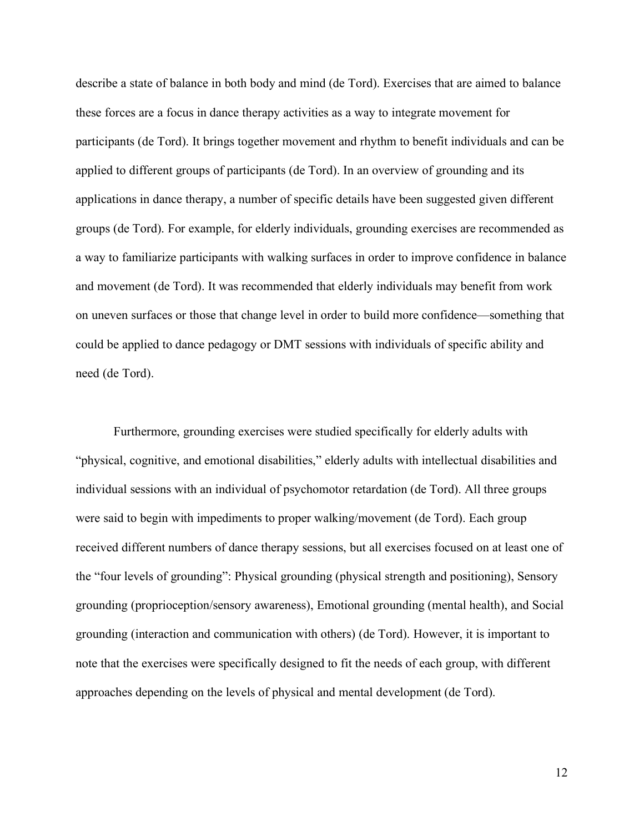describe a state of balance in both body and mind (de Tord). Exercises that are aimed to balance these forces are a focus in dance therapy activities as a way to integrate movement for participants (de Tord). It brings together movement and rhythm to benefit individuals and can be applied to different groups of participants (de Tord). In an overview of grounding and its applications in dance therapy, a number of specific details have been suggested given different groups (de Tord). For example, for elderly individuals, grounding exercises are recommended as a way to familiarize participants with walking surfaces in order to improve confidence in balance and movement (de Tord). It was recommended that elderly individuals may benefit from work on uneven surfaces or those that change level in order to build more confidence—something that could be applied to dance pedagogy or DMT sessions with individuals of specific ability and need (de Tord).

Furthermore, grounding exercises were studied specifically for elderly adults with "physical, cognitive, and emotional disabilities," elderly adults with intellectual disabilities and individual sessions with an individual of psychomotor retardation (de Tord). All three groups were said to begin with impediments to proper walking/movement (de Tord). Each group received different numbers of dance therapy sessions, but all exercises focused on at least one of the "four levels of grounding": Physical grounding (physical strength and positioning), Sensory grounding (proprioception/sensory awareness), Emotional grounding (mental health), and Social grounding (interaction and communication with others) (de Tord). However, it is important to note that the exercises were specifically designed to fit the needs of each group, with different approaches depending on the levels of physical and mental development (de Tord).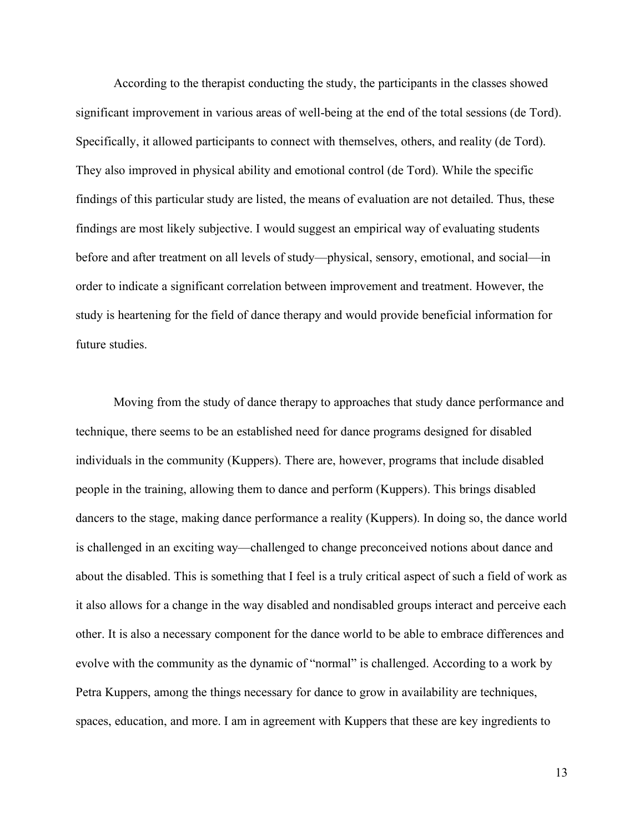According to the therapist conducting the study, the participants in the classes showed significant improvement in various areas of well-being at the end of the total sessions (de Tord). Specifically, it allowed participants to connect with themselves, others, and reality (de Tord). They also improved in physical ability and emotional control (de Tord). While the specific findings of this particular study are listed, the means of evaluation are not detailed. Thus, these findings are most likely subjective. I would suggest an empirical way of evaluating students before and after treatment on all levels of study—physical, sensory, emotional, and social—in order to indicate a significant correlation between improvement and treatment. However, the study is heartening for the field of dance therapy and would provide beneficial information for future studies.

Moving from the study of dance therapy to approaches that study dance performance and technique, there seems to be an established need for dance programs designed for disabled individuals in the community (Kuppers). There are, however, programs that include disabled people in the training, allowing them to dance and perform (Kuppers). This brings disabled dancers to the stage, making dance performance a reality (Kuppers). In doing so, the dance world is challenged in an exciting way—challenged to change preconceived notions about dance and about the disabled. This is something that I feel is a truly critical aspect of such a field of work as it also allows for a change in the way disabled and nondisabled groups interact and perceive each other. It is also a necessary component for the dance world to be able to embrace differences and evolve with the community as the dynamic of "normal" is challenged. According to a work by Petra Kuppers, among the things necessary for dance to grow in availability are techniques, spaces, education, and more. I am in agreement with Kuppers that these are key ingredients to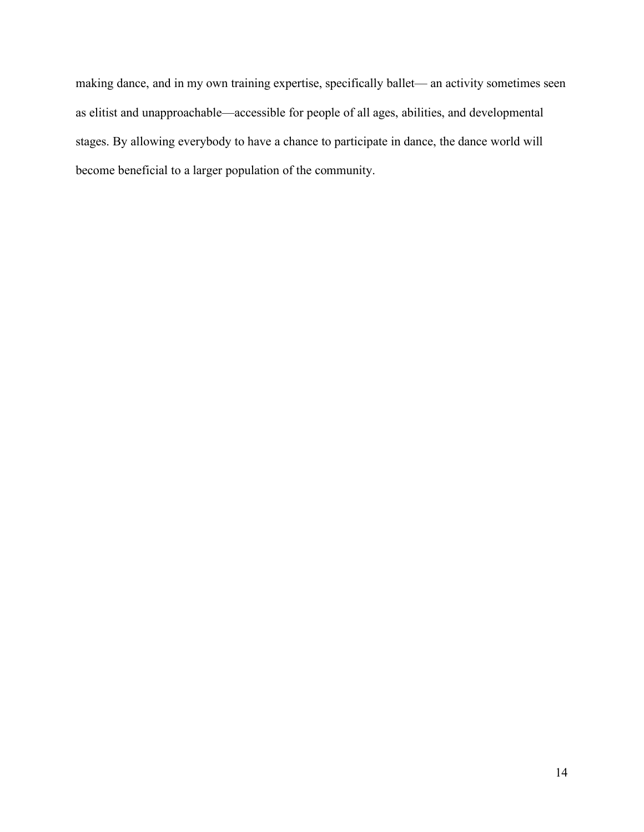making dance, and in my own training expertise, specifically ballet— an activity sometimes seen as elitist and unapproachable—accessible for people of all ages, abilities, and developmental stages. By allowing everybody to have a chance to participate in dance, the dance world will become beneficial to a larger population of the community.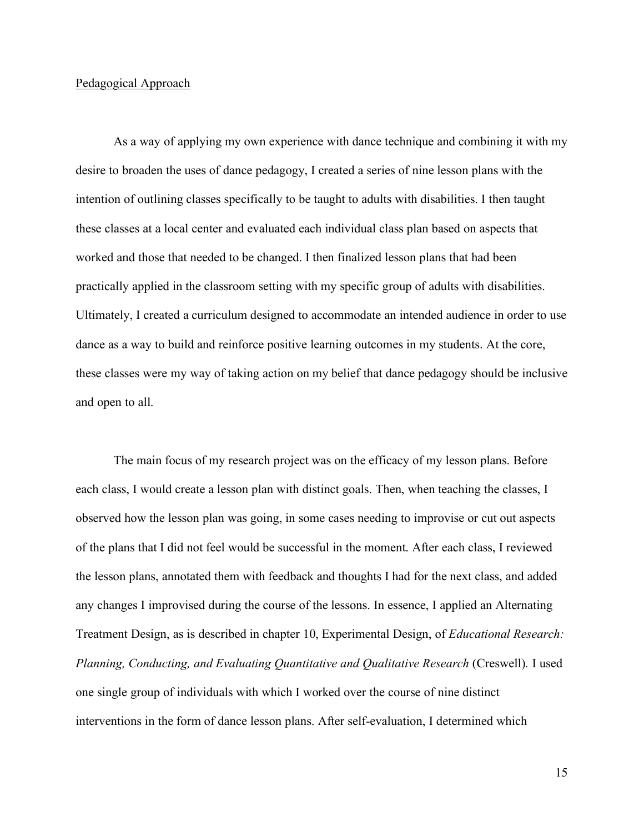#### Pedagogical Approach

As a way of applying my own experience with dance technique and combining it with my desire to broaden the uses of dance pedagogy, I created a series of nine lesson plans with the intention of outlining classes specifically to be taught to adults with disabilities. I then taught these classes at a local center and evaluated each individual class plan based on aspects that worked and those that needed to be changed. I then finalized lesson plans that had been practically applied in the classroom setting with my specific group of adults with disabilities. Ultimately, I created a curriculum designed to accommodate an intended audience in order to use dance as a way to build and reinforce positive learning outcomes in my students. At the core, these classes were my way of taking action on my belief that dance pedagogy should be inclusive and open to all.

The main focus of my research project was on the efficacy of my lesson plans. Before each class, I would create a lesson plan with distinct goals. Then, when teaching the classes, I observed how the lesson plan was going, in some cases needing to improvise or cut out aspects of the plans that I did not feel would be successful in the moment. After each class, I reviewed the lesson plans, annotated them with feedback and thoughts I had for the next class, and added any changes I improvised during the course of the lessons. In essence, I applied an Alternating Treatment Design, as is described in chapter 10, Experimental Design, of *Educational Research: Planning, Conducting, and Evaluating Quantitative and Qualitative Research* (Creswell)*.* I used one single group of individuals with which I worked over the course of nine distinct interventions in the form of dance lesson plans. After self-evaluation, I determined which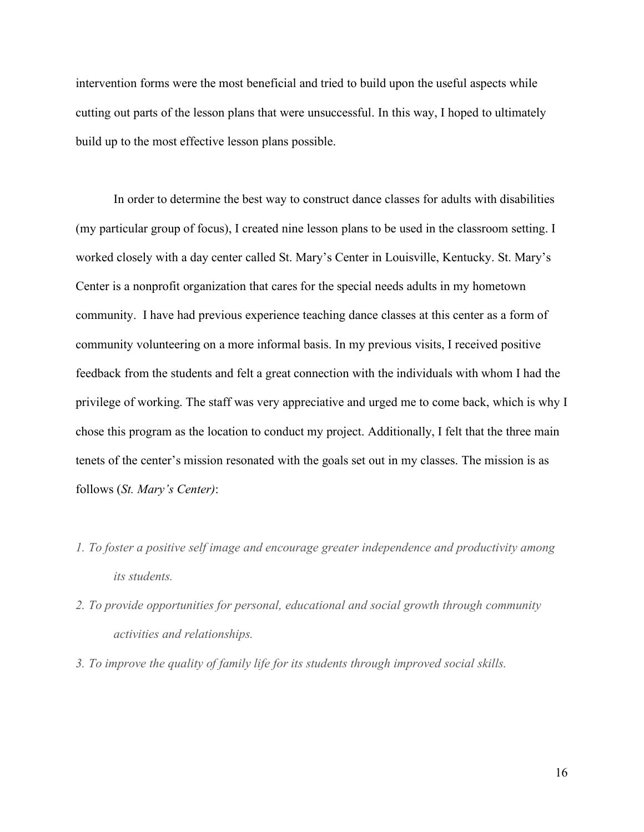intervention forms were the most beneficial and tried to build upon the useful aspects while cutting out parts of the lesson plans that were unsuccessful. In this way, I hoped to ultimately build up to the most effective lesson plans possible.

In order to determine the best way to construct dance classes for adults with disabilities (my particular group of focus), I created nine lesson plans to be used in the classroom setting. I worked closely with a day center called St. Mary's Center in Louisville, Kentucky. St. Mary's Center is a nonprofit organization that cares for the special needs adults in my hometown community. I have had previous experience teaching dance classes at this center as a form of community volunteering on a more informal basis. In my previous visits, I received positive feedback from the students and felt a great connection with the individuals with whom I had the privilege of working. The staff was very appreciative and urged me to come back, which is why I chose this program as the location to conduct my project. Additionally, I felt that the three main tenets of the center's mission resonated with the goals set out in my classes. The mission is as follows (*St. Mary's Center)*:

- *1. To foster a positive self image and encourage greater independence and productivity among its students.*
- *2. To provide opportunities for personal, educational and social growth through community activities and relationships.*
- *3. To improve the quality of family life for its students through improved social skills.*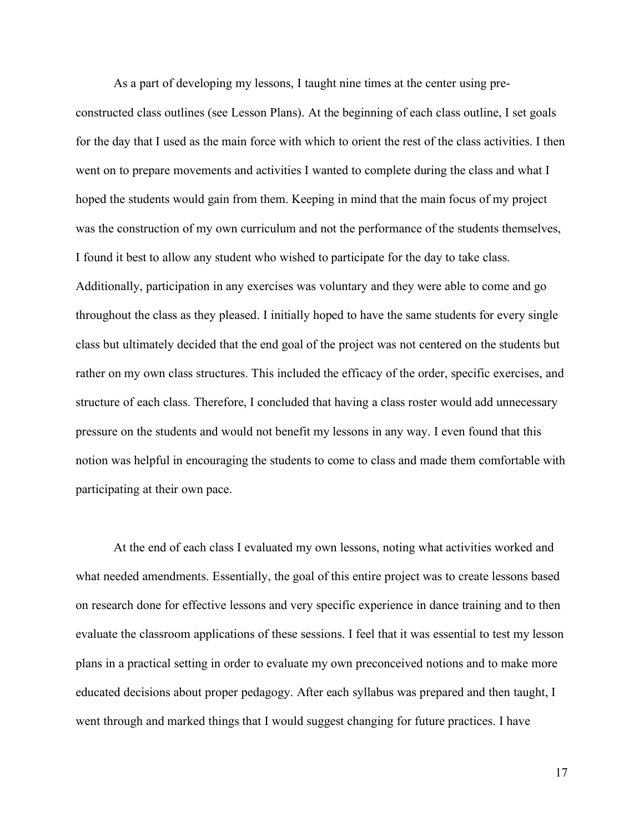As a part of developing my lessons, I taught nine times at the center using preconstructed class outlines (see Lesson Plans). At the beginning of each class outline, I set goals for the day that I used as the main force with which to orient the rest of the class activities. I then went on to prepare movements and activities I wanted to complete during the class and what I hoped the students would gain from them. Keeping in mind that the main focus of my project was the construction of my own curriculum and not the performance of the students themselves, I found it best to allow any student who wished to participate for the day to take class. Additionally, participation in any exercises was voluntary and they were able to come and go throughout the class as they pleased. I initially hoped to have the same students for every single class but ultimately decided that the end goal of the project was not centered on the students but rather on my own class structures. This included the efficacy of the order, specific exercises, and structure of each class. Therefore, I concluded that having a class roster would add unnecessary pressure on the students and would not benefit my lessons in any way. I even found that this notion was helpful in encouraging the students to come to class and made them comfortable with participating at their own pace.

At the end of each class I evaluated my own lessons, noting what activities worked and what needed amendments. Essentially, the goal of this entire project was to create lessons based on research done for effective lessons and very specific experience in dance training and to then evaluate the classroom applications of these sessions. I feel that it was essential to test my lesson plans in a practical setting in order to evaluate my own preconceived notions and to make more educated decisions about proper pedagogy. After each syllabus was prepared and then taught, I went through and marked things that I would suggest changing for future practices. I have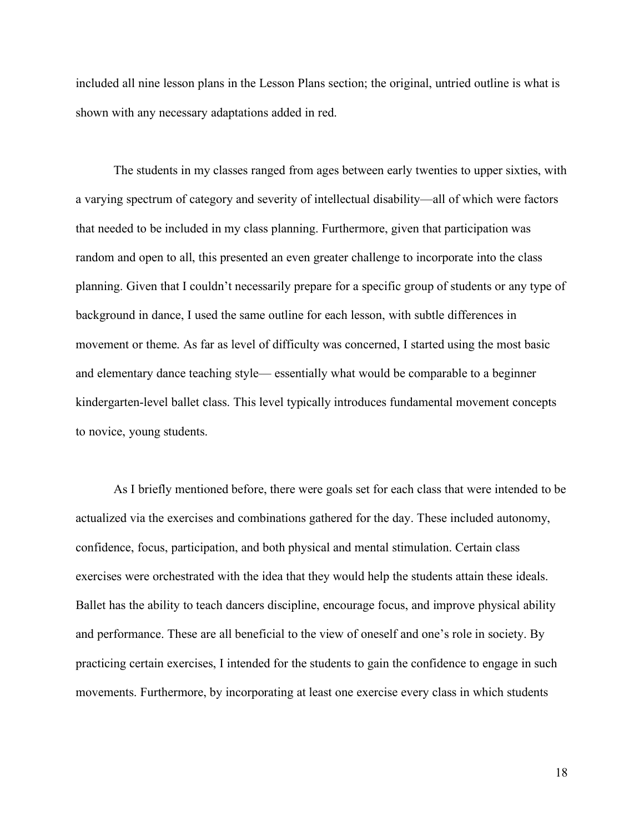included all nine lesson plans in the Lesson Plans section; the original, untried outline is what is shown with any necessary adaptations added in red.

The students in my classes ranged from ages between early twenties to upper sixties, with a varying spectrum of category and severity of intellectual disability—all of which were factors that needed to be included in my class planning. Furthermore, given that participation was random and open to all, this presented an even greater challenge to incorporate into the class planning. Given that I couldn't necessarily prepare for a specific group of students or any type of background in dance, I used the same outline for each lesson, with subtle differences in movement or theme. As far as level of difficulty was concerned, I started using the most basic and elementary dance teaching style— essentially what would be comparable to a beginner kindergarten-level ballet class. This level typically introduces fundamental movement concepts to novice, young students.

As I briefly mentioned before, there were goals set for each class that were intended to be actualized via the exercises and combinations gathered for the day. These included autonomy, confidence, focus, participation, and both physical and mental stimulation. Certain class exercises were orchestrated with the idea that they would help the students attain these ideals. Ballet has the ability to teach dancers discipline, encourage focus, and improve physical ability and performance. These are all beneficial to the view of oneself and one's role in society. By practicing certain exercises, I intended for the students to gain the confidence to engage in such movements. Furthermore, by incorporating at least one exercise every class in which students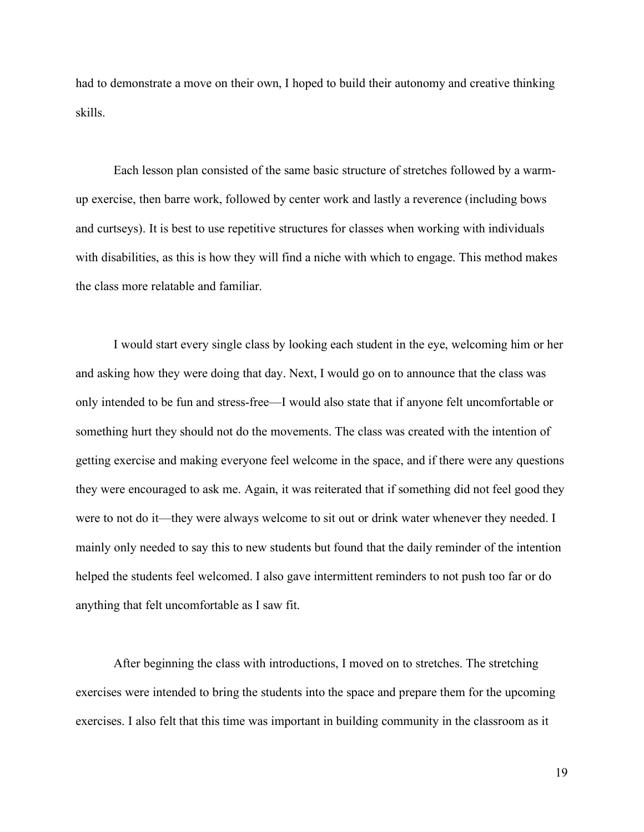had to demonstrate a move on their own, I hoped to build their autonomy and creative thinking skills.

Each lesson plan consisted of the same basic structure of stretches followed by a warmup exercise, then barre work, followed by center work and lastly a reverence (including bows and curtseys). It is best to use repetitive structures for classes when working with individuals with disabilities, as this is how they will find a niche with which to engage. This method makes the class more relatable and familiar.

I would start every single class by looking each student in the eye, welcoming him or her and asking how they were doing that day. Next, I would go on to announce that the class was only intended to be fun and stress-free—I would also state that if anyone felt uncomfortable or something hurt they should not do the movements. The class was created with the intention of getting exercise and making everyone feel welcome in the space, and if there were any questions they were encouraged to ask me. Again, it was reiterated that if something did not feel good they were to not do it—they were always welcome to sit out or drink water whenever they needed. I mainly only needed to say this to new students but found that the daily reminder of the intention helped the students feel welcomed. I also gave intermittent reminders to not push too far or do anything that felt uncomfortable as I saw fit.

After beginning the class with introductions, I moved on to stretches. The stretching exercises were intended to bring the students into the space and prepare them for the upcoming exercises. I also felt that this time was important in building community in the classroom as it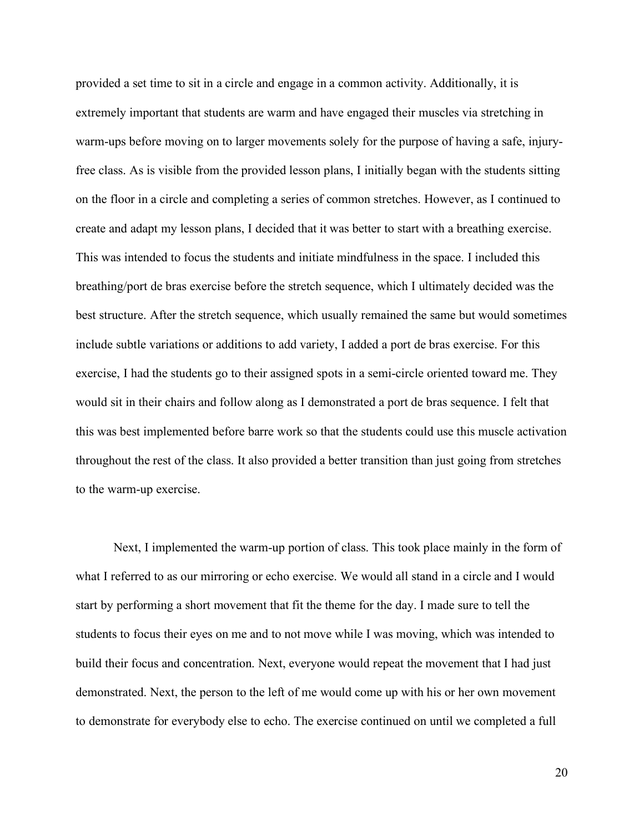provided a set time to sit in a circle and engage in a common activity. Additionally, it is extremely important that students are warm and have engaged their muscles via stretching in warm-ups before moving on to larger movements solely for the purpose of having a safe, injuryfree class. As is visible from the provided lesson plans, I initially began with the students sitting on the floor in a circle and completing a series of common stretches. However, as I continued to create and adapt my lesson plans, I decided that it was better to start with a breathing exercise. This was intended to focus the students and initiate mindfulness in the space. I included this breathing/port de bras exercise before the stretch sequence, which I ultimately decided was the best structure. After the stretch sequence, which usually remained the same but would sometimes include subtle variations or additions to add variety, I added a port de bras exercise. For this exercise, I had the students go to their assigned spots in a semi-circle oriented toward me. They would sit in their chairs and follow along as I demonstrated a port de bras sequence. I felt that this was best implemented before barre work so that the students could use this muscle activation throughout the rest of the class. It also provided a better transition than just going from stretches to the warm-up exercise.

Next, I implemented the warm-up portion of class. This took place mainly in the form of what I referred to as our mirroring or echo exercise. We would all stand in a circle and I would start by performing a short movement that fit the theme for the day. I made sure to tell the students to focus their eyes on me and to not move while I was moving, which was intended to build their focus and concentration. Next, everyone would repeat the movement that I had just demonstrated. Next, the person to the left of me would come up with his or her own movement to demonstrate for everybody else to echo. The exercise continued on until we completed a full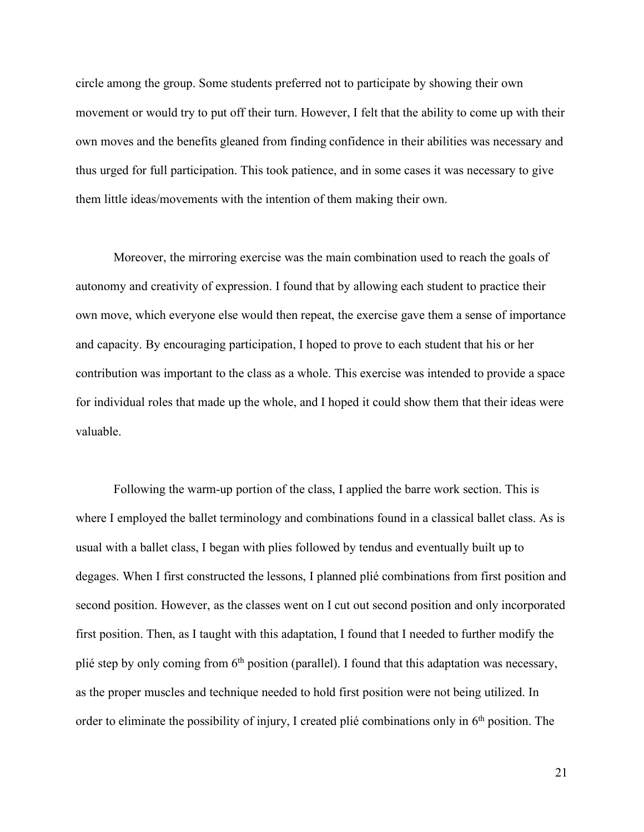circle among the group. Some students preferred not to participate by showing their own movement or would try to put off their turn. However, I felt that the ability to come up with their own moves and the benefits gleaned from finding confidence in their abilities was necessary and thus urged for full participation. This took patience, and in some cases it was necessary to give them little ideas/movements with the intention of them making their own.

Moreover, the mirroring exercise was the main combination used to reach the goals of autonomy and creativity of expression. I found that by allowing each student to practice their own move, which everyone else would then repeat, the exercise gave them a sense of importance and capacity. By encouraging participation, I hoped to prove to each student that his or her contribution was important to the class as a whole. This exercise was intended to provide a space for individual roles that made up the whole, and I hoped it could show them that their ideas were valuable.

Following the warm-up portion of the class, I applied the barre work section. This is where I employed the ballet terminology and combinations found in a classical ballet class. As is usual with a ballet class, I began with plies followed by tendus and eventually built up to degages. When I first constructed the lessons, I planned plié combinations from first position and second position. However, as the classes went on I cut out second position and only incorporated first position. Then, as I taught with this adaptation, I found that I needed to further modify the plié step by only coming from  $6<sup>th</sup>$  position (parallel). I found that this adaptation was necessary, as the proper muscles and technique needed to hold first position were not being utilized. In order to eliminate the possibility of injury, I created plié combinations only in 6<sup>th</sup> position. The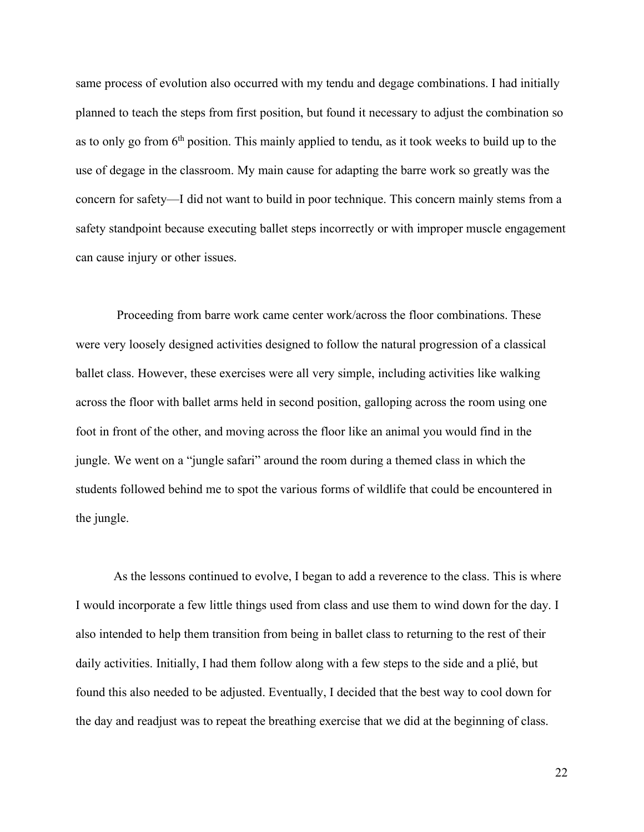same process of evolution also occurred with my tendu and degage combinations. I had initially planned to teach the steps from first position, but found it necessary to adjust the combination so as to only go from 6th position. This mainly applied to tendu, as it took weeks to build up to the use of degage in the classroom. My main cause for adapting the barre work so greatly was the concern for safety—I did not want to build in poor technique. This concern mainly stems from a safety standpoint because executing ballet steps incorrectly or with improper muscle engagement can cause injury or other issues.

Proceeding from barre work came center work/across the floor combinations. These were very loosely designed activities designed to follow the natural progression of a classical ballet class. However, these exercises were all very simple, including activities like walking across the floor with ballet arms held in second position, galloping across the room using one foot in front of the other, and moving across the floor like an animal you would find in the jungle. We went on a "jungle safari" around the room during a themed class in which the students followed behind me to spot the various forms of wildlife that could be encountered in the jungle.

As the lessons continued to evolve, I began to add a reverence to the class. This is where I would incorporate a few little things used from class and use them to wind down for the day. I also intended to help them transition from being in ballet class to returning to the rest of their daily activities. Initially, I had them follow along with a few steps to the side and a plié, but found this also needed to be adjusted. Eventually, I decided that the best way to cool down for the day and readjust was to repeat the breathing exercise that we did at the beginning of class.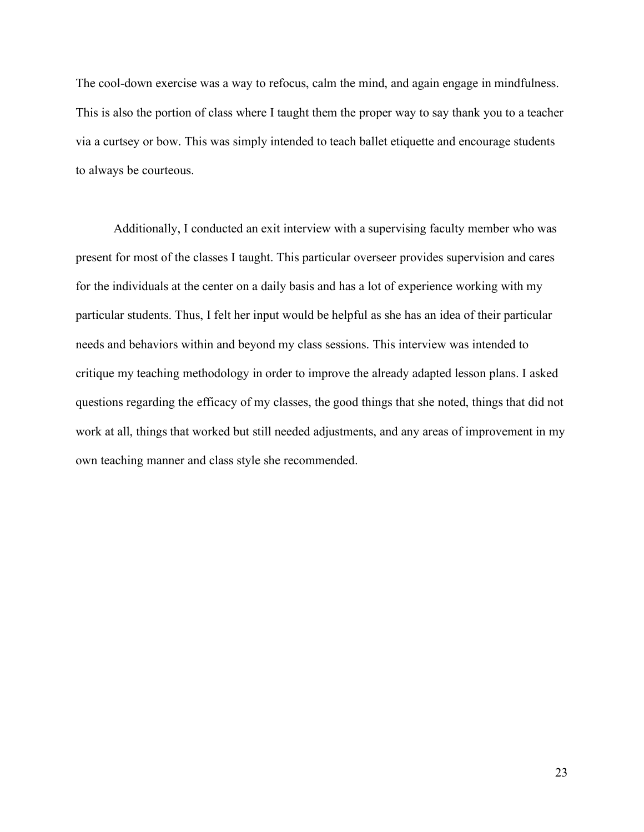The cool-down exercise was a way to refocus, calm the mind, and again engage in mindfulness. This is also the portion of class where I taught them the proper way to say thank you to a teacher via a curtsey or bow. This was simply intended to teach ballet etiquette and encourage students to always be courteous.

Additionally, I conducted an exit interview with a supervising faculty member who was present for most of the classes I taught. This particular overseer provides supervision and cares for the individuals at the center on a daily basis and has a lot of experience working with my particular students. Thus, I felt her input would be helpful as she has an idea of their particular needs and behaviors within and beyond my class sessions. This interview was intended to critique my teaching methodology in order to improve the already adapted lesson plans. I asked questions regarding the efficacy of my classes, the good things that she noted, things that did not work at all, things that worked but still needed adjustments, and any areas of improvement in my own teaching manner and class style she recommended.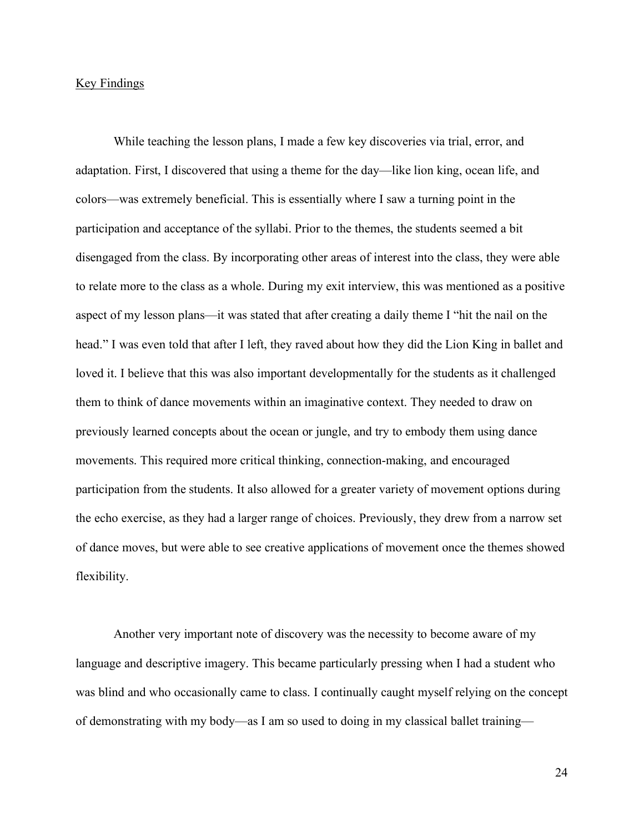#### Key Findings

While teaching the lesson plans, I made a few key discoveries via trial, error, and adaptation. First, I discovered that using a theme for the day—like lion king, ocean life, and colors—was extremely beneficial. This is essentially where I saw a turning point in the participation and acceptance of the syllabi. Prior to the themes, the students seemed a bit disengaged from the class. By incorporating other areas of interest into the class, they were able to relate more to the class as a whole. During my exit interview, this was mentioned as a positive aspect of my lesson plans—it was stated that after creating a daily theme I "hit the nail on the head." I was even told that after I left, they raved about how they did the Lion King in ballet and loved it. I believe that this was also important developmentally for the students as it challenged them to think of dance movements within an imaginative context. They needed to draw on previously learned concepts about the ocean or jungle, and try to embody them using dance movements. This required more critical thinking, connection-making, and encouraged participation from the students. It also allowed for a greater variety of movement options during the echo exercise, as they had a larger range of choices. Previously, they drew from a narrow set of dance moves, but were able to see creative applications of movement once the themes showed flexibility.

Another very important note of discovery was the necessity to become aware of my language and descriptive imagery. This became particularly pressing when I had a student who was blind and who occasionally came to class. I continually caught myself relying on the concept of demonstrating with my body—as I am so used to doing in my classical ballet training—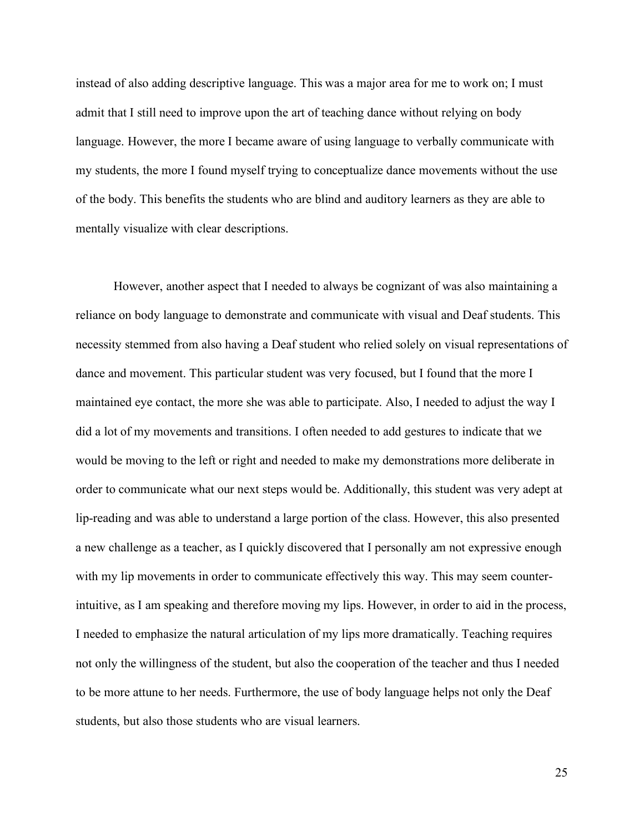instead of also adding descriptive language. This was a major area for me to work on; I must admit that I still need to improve upon the art of teaching dance without relying on body language. However, the more I became aware of using language to verbally communicate with my students, the more I found myself trying to conceptualize dance movements without the use of the body. This benefits the students who are blind and auditory learners as they are able to mentally visualize with clear descriptions.

However, another aspect that I needed to always be cognizant of was also maintaining a reliance on body language to demonstrate and communicate with visual and Deaf students. This necessity stemmed from also having a Deaf student who relied solely on visual representations of dance and movement. This particular student was very focused, but I found that the more I maintained eye contact, the more she was able to participate. Also, I needed to adjust the way I did a lot of my movements and transitions. I often needed to add gestures to indicate that we would be moving to the left or right and needed to make my demonstrations more deliberate in order to communicate what our next steps would be. Additionally, this student was very adept at lip-reading and was able to understand a large portion of the class. However, this also presented a new challenge as a teacher, as I quickly discovered that I personally am not expressive enough with my lip movements in order to communicate effectively this way. This may seem counterintuitive, as I am speaking and therefore moving my lips. However, in order to aid in the process, I needed to emphasize the natural articulation of my lips more dramatically. Teaching requires not only the willingness of the student, but also the cooperation of the teacher and thus I needed to be more attune to her needs. Furthermore, the use of body language helps not only the Deaf students, but also those students who are visual learners.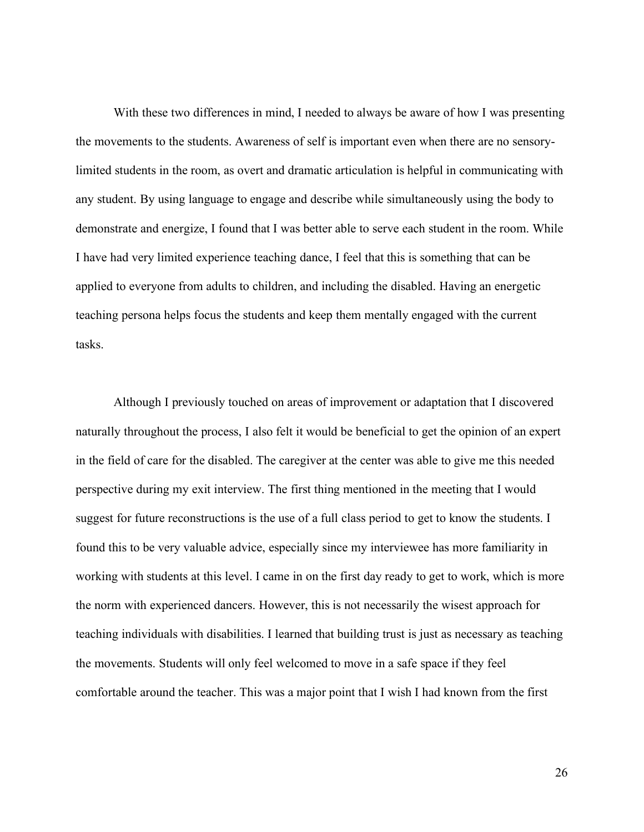With these two differences in mind, I needed to always be aware of how I was presenting the movements to the students. Awareness of self is important even when there are no sensorylimited students in the room, as overt and dramatic articulation is helpful in communicating with any student. By using language to engage and describe while simultaneously using the body to demonstrate and energize, I found that I was better able to serve each student in the room. While I have had very limited experience teaching dance, I feel that this is something that can be applied to everyone from adults to children, and including the disabled. Having an energetic teaching persona helps focus the students and keep them mentally engaged with the current tasks.

Although I previously touched on areas of improvement or adaptation that I discovered naturally throughout the process, I also felt it would be beneficial to get the opinion of an expert in the field of care for the disabled. The caregiver at the center was able to give me this needed perspective during my exit interview. The first thing mentioned in the meeting that I would suggest for future reconstructions is the use of a full class period to get to know the students. I found this to be very valuable advice, especially since my interviewee has more familiarity in working with students at this level. I came in on the first day ready to get to work, which is more the norm with experienced dancers. However, this is not necessarily the wisest approach for teaching individuals with disabilities. I learned that building trust is just as necessary as teaching the movements. Students will only feel welcomed to move in a safe space if they feel comfortable around the teacher. This was a major point that I wish I had known from the first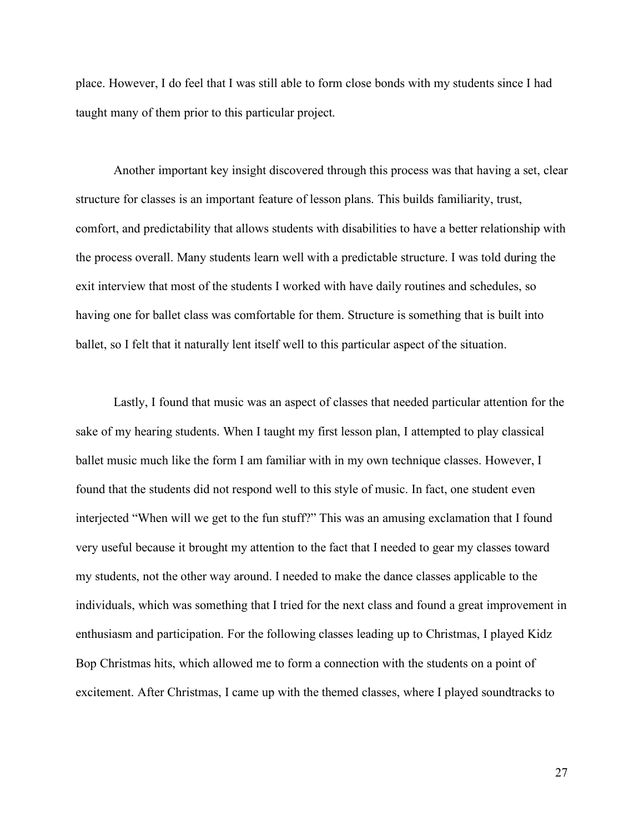place. However, I do feel that I was still able to form close bonds with my students since I had taught many of them prior to this particular project.

Another important key insight discovered through this process was that having a set, clear structure for classes is an important feature of lesson plans. This builds familiarity, trust, comfort, and predictability that allows students with disabilities to have a better relationship with the process overall. Many students learn well with a predictable structure. I was told during the exit interview that most of the students I worked with have daily routines and schedules, so having one for ballet class was comfortable for them. Structure is something that is built into ballet, so I felt that it naturally lent itself well to this particular aspect of the situation.

Lastly, I found that music was an aspect of classes that needed particular attention for the sake of my hearing students. When I taught my first lesson plan, I attempted to play classical ballet music much like the form I am familiar with in my own technique classes. However, I found that the students did not respond well to this style of music. In fact, one student even interjected "When will we get to the fun stuff?" This was an amusing exclamation that I found very useful because it brought my attention to the fact that I needed to gear my classes toward my students, not the other way around. I needed to make the dance classes applicable to the individuals, which was something that I tried for the next class and found a great improvement in enthusiasm and participation. For the following classes leading up to Christmas, I played Kidz Bop Christmas hits, which allowed me to form a connection with the students on a point of excitement. After Christmas, I came up with the themed classes, where I played soundtracks to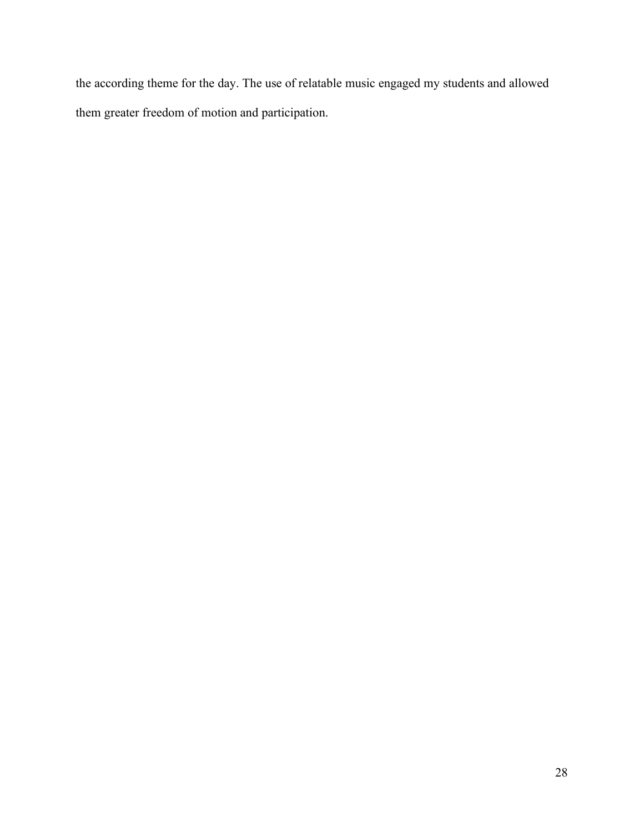the according theme for the day. The use of relatable music engaged my students and allowed them greater freedom of motion and participation.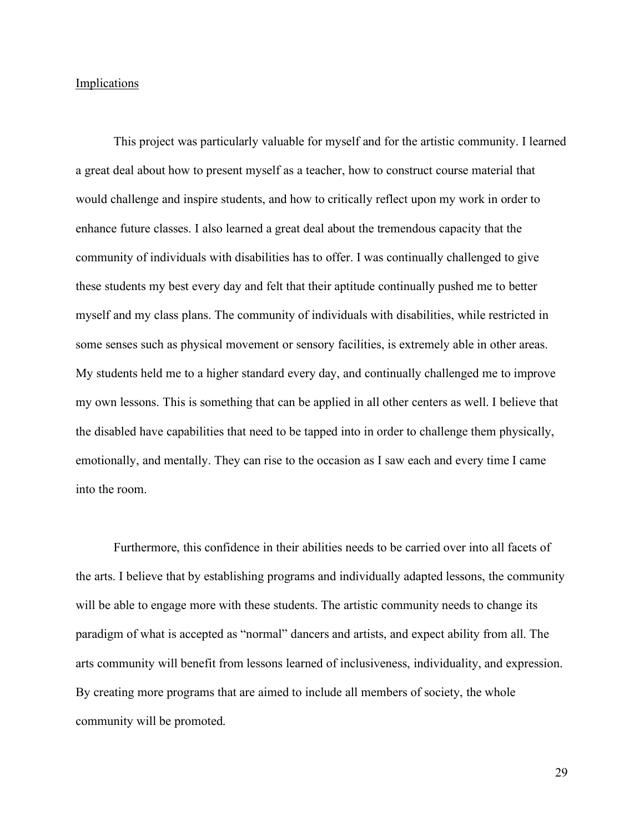#### **Implications**

This project was particularly valuable for myself and for the artistic community. I learned a great deal about how to present myself as a teacher, how to construct course material that would challenge and inspire students, and how to critically reflect upon my work in order to enhance future classes. I also learned a great deal about the tremendous capacity that the community of individuals with disabilities has to offer. I was continually challenged to give these students my best every day and felt that their aptitude continually pushed me to better myself and my class plans. The community of individuals with disabilities, while restricted in some senses such as physical movement or sensory facilities, is extremely able in other areas. My students held me to a higher standard every day, and continually challenged me to improve my own lessons. This is something that can be applied in all other centers as well. I believe that the disabled have capabilities that need to be tapped into in order to challenge them physically, emotionally, and mentally. They can rise to the occasion as I saw each and every time I came into the room.

Furthermore, this confidence in their abilities needs to be carried over into all facets of the arts. I believe that by establishing programs and individually adapted lessons, the community will be able to engage more with these students. The artistic community needs to change its paradigm of what is accepted as "normal" dancers and artists, and expect ability from all. The arts community will benefit from lessons learned of inclusiveness, individuality, and expression. By creating more programs that are aimed to include all members of society, the whole community will be promoted.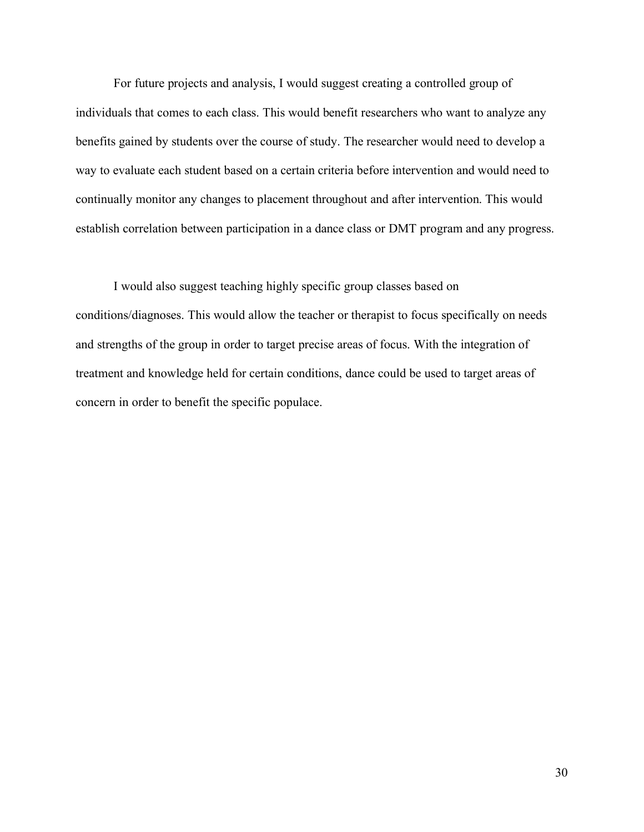For future projects and analysis, I would suggest creating a controlled group of individuals that comes to each class. This would benefit researchers who want to analyze any benefits gained by students over the course of study. The researcher would need to develop a way to evaluate each student based on a certain criteria before intervention and would need to continually monitor any changes to placement throughout and after intervention. This would establish correlation between participation in a dance class or DMT program and any progress.

I would also suggest teaching highly specific group classes based on conditions/diagnoses. This would allow the teacher or therapist to focus specifically on needs and strengths of the group in order to target precise areas of focus. With the integration of treatment and knowledge held for certain conditions, dance could be used to target areas of concern in order to benefit the specific populace.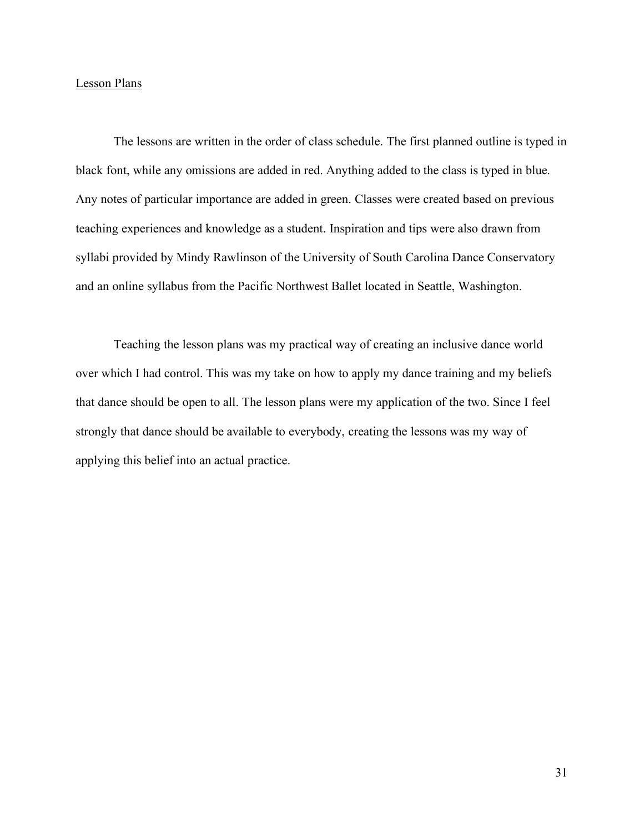#### Lesson Plans

The lessons are written in the order of class schedule. The first planned outline is typed in black font, while any omissions are added in red. Anything added to the class is typed in blue. Any notes of particular importance are added in green. Classes were created based on previous teaching experiences and knowledge as a student. Inspiration and tips were also drawn from syllabi provided by Mindy Rawlinson of the University of South Carolina Dance Conservatory and an online syllabus from the Pacific Northwest Ballet located in Seattle, Washington.

Teaching the lesson plans was my practical way of creating an inclusive dance world over which I had control. This was my take on how to apply my dance training and my beliefs that dance should be open to all. The lesson plans were my application of the two. Since I feel strongly that dance should be available to everybody, creating the lessons was my way of applying this belief into an actual practice.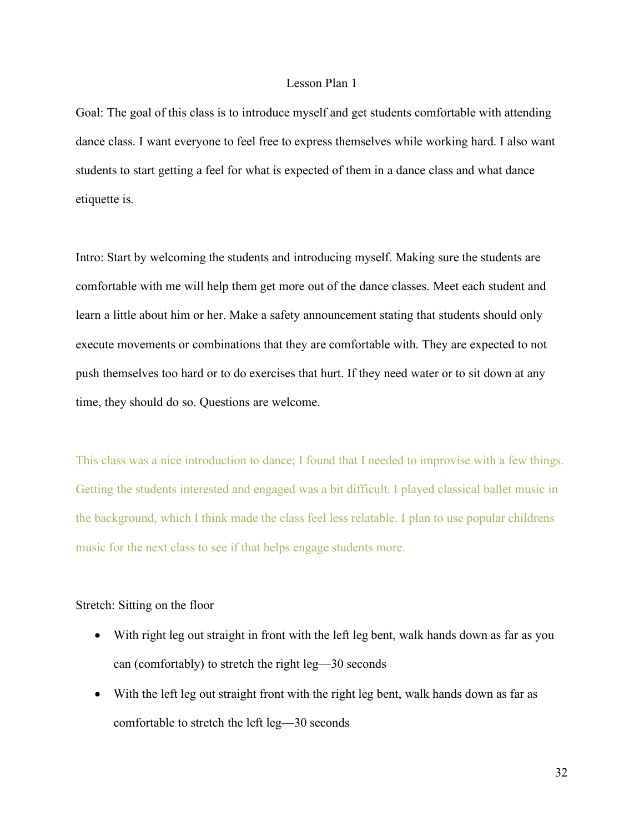#### Lesson Plan 1

Goal: The goal of this class is to introduce myself and get students comfortable with attending dance class. I want everyone to feel free to express themselves while working hard. I also want students to start getting a feel for what is expected of them in a dance class and what dance etiquette is.

Intro: Start by welcoming the students and introducing myself. Making sure the students are comfortable with me will help them get more out of the dance classes. Meet each student and learn a little about him or her. Make a safety announcement stating that students should only execute movements or combinations that they are comfortable with. They are expected to not push themselves too hard or to do exercises that hurt. If they need water or to sit down at any time, they should do so. Questions are welcome.

This class was a nice introduction to dance; I found that I needed to improvise with a few things. Getting the students interested and engaged was a bit difficult. I played classical ballet music in the background, which I think made the class feel less relatable. I plan to use popular childrens music for the next class to see if that helps engage students more.

#### Stretch: Sitting on the floor

- With right leg out straight in front with the left leg bent, walk hands down as far as you can (comfortably) to stretch the right leg—30 seconds
- With the left leg out straight front with the right leg bent, walk hands down as far as comfortable to stretch the left leg—30 seconds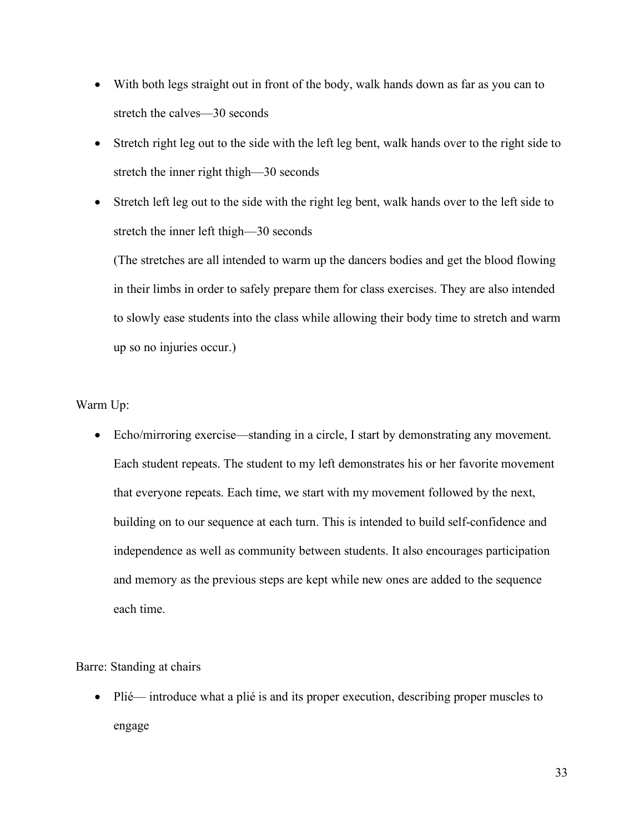- With both legs straight out in front of the body, walk hands down as far as you can to stretch the calves—30 seconds
- Stretch right leg out to the side with the left leg bent, walk hands over to the right side to stretch the inner right thigh—30 seconds
- Stretch left leg out to the side with the right leg bent, walk hands over to the left side to stretch the inner left thigh—30 seconds

(The stretches are all intended to warm up the dancers bodies and get the blood flowing in their limbs in order to safely prepare them for class exercises. They are also intended to slowly ease students into the class while allowing their body time to stretch and warm up so no injuries occur.)

Warm Up:

• Echo/mirroring exercise—standing in a circle, I start by demonstrating any movement. Each student repeats. The student to my left demonstrates his or her favorite movement that everyone repeats. Each time, we start with my movement followed by the next, building on to our sequence at each turn. This is intended to build self-confidence and independence as well as community between students. It also encourages participation and memory as the previous steps are kept while new ones are added to the sequence each time.

Barre: Standing at chairs

• Plié— introduce what a plié is and its proper execution, describing proper muscles to engage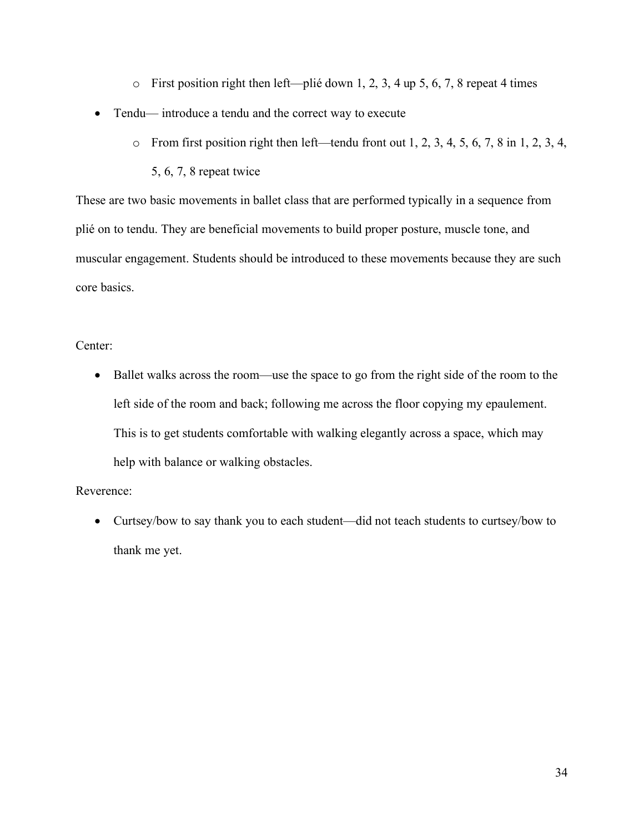- $\circ$  First position right then left—plié down 1, 2, 3, 4 up 5, 6, 7, 8 repeat 4 times
- Tendu— introduce a tendu and the correct way to execute
	- $\circ$  From first position right then left—tendu front out 1, 2, 3, 4, 5, 6, 7, 8 in 1, 2, 3, 4,

5, 6, 7, 8 repeat twice

These are two basic movements in ballet class that are performed typically in a sequence from plié on to tendu. They are beneficial movements to build proper posture, muscle tone, and muscular engagement. Students should be introduced to these movements because they are such core basics.

Center:

• Ballet walks across the room—use the space to go from the right side of the room to the left side of the room and back; following me across the floor copying my epaulement. This is to get students comfortable with walking elegantly across a space, which may help with balance or walking obstacles.

Reverence:

• Curtsey/bow to say thank you to each student—did not teach students to curtsey/bow to thank me yet.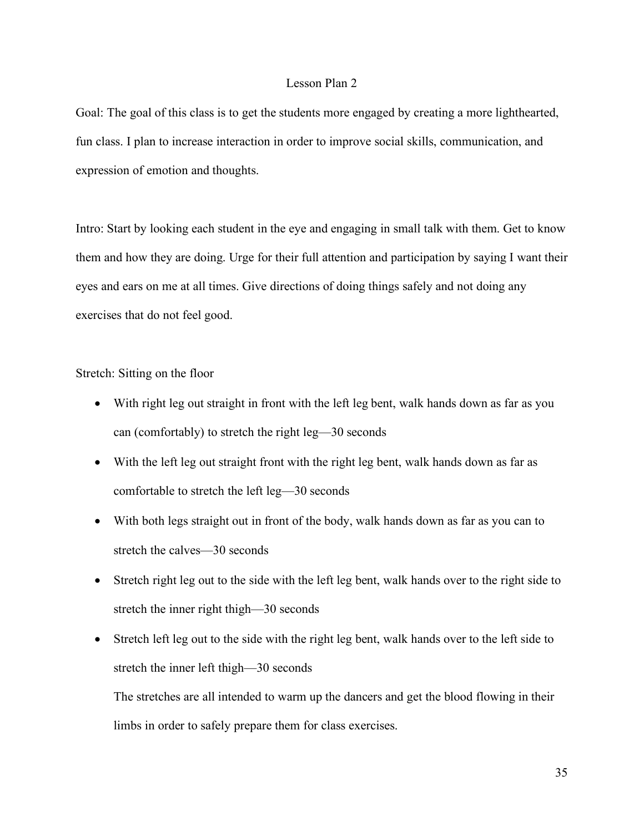#### Lesson Plan 2

Goal: The goal of this class is to get the students more engaged by creating a more lighthearted, fun class. I plan to increase interaction in order to improve social skills, communication, and expression of emotion and thoughts.

Intro: Start by looking each student in the eye and engaging in small talk with them. Get to know them and how they are doing. Urge for their full attention and participation by saying I want their eyes and ears on me at all times. Give directions of doing things safely and not doing any exercises that do not feel good.

Stretch: Sitting on the floor

- With right leg out straight in front with the left leg bent, walk hands down as far as you can (comfortably) to stretch the right leg—30 seconds
- With the left leg out straight front with the right leg bent, walk hands down as far as comfortable to stretch the left leg—30 seconds
- With both legs straight out in front of the body, walk hands down as far as you can to stretch the calves—30 seconds
- Stretch right leg out to the side with the left leg bent, walk hands over to the right side to stretch the inner right thigh—30 seconds
- Stretch left leg out to the side with the right leg bent, walk hands over to the left side to stretch the inner left thigh—30 seconds

The stretches are all intended to warm up the dancers and get the blood flowing in their limbs in order to safely prepare them for class exercises.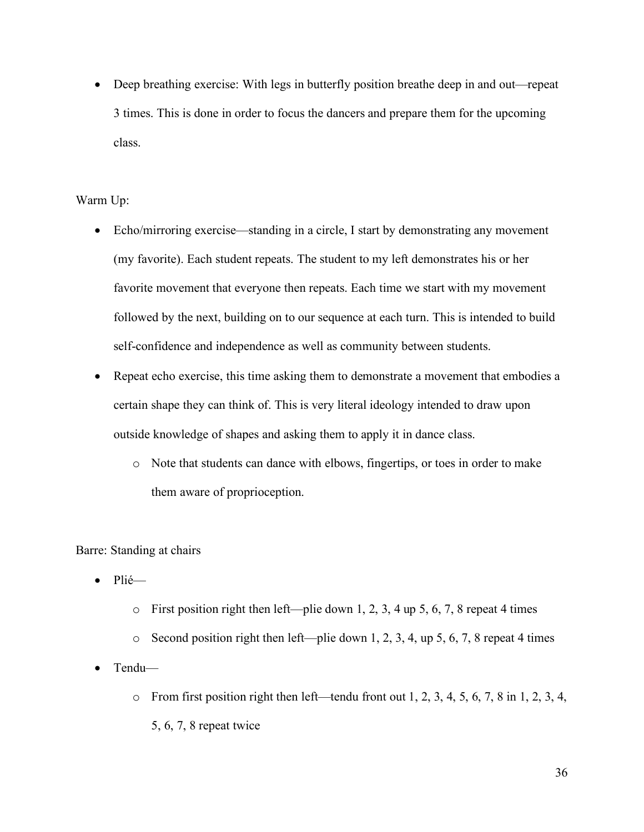• Deep breathing exercise: With legs in butterfly position breathe deep in and out—repeat 3 times. This is done in order to focus the dancers and prepare them for the upcoming class.

## Warm Up:

- Echo/mirroring exercise—standing in a circle, I start by demonstrating any movement (my favorite). Each student repeats. The student to my left demonstrates his or her favorite movement that everyone then repeats. Each time we start with my movement followed by the next, building on to our sequence at each turn. This is intended to build self-confidence and independence as well as community between students.
- Repeat echo exercise, this time asking them to demonstrate a movement that embodies a certain shape they can think of. This is very literal ideology intended to draw upon outside knowledge of shapes and asking them to apply it in dance class.
	- o Note that students can dance with elbows, fingertips, or toes in order to make them aware of proprioception.

Barre: Standing at chairs

- Plié—
	- $\circ$  First position right then left—plie down 1, 2, 3, 4 up 5, 6, 7, 8 repeat 4 times
	- $\circ$  Second position right then left—plie down 1, 2, 3, 4, up 5, 6, 7, 8 repeat 4 times
- Tendu—
	- $\circ$  From first position right then left—tendu front out 1, 2, 3, 4, 5, 6, 7, 8 in 1, 2, 3, 4, 5, 6, 7, 8 repeat twice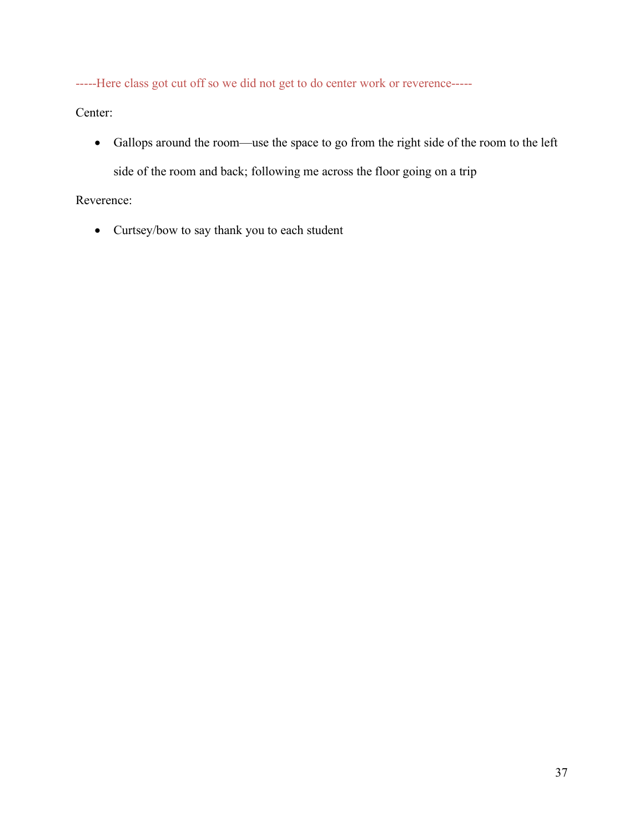-----Here class got cut off so we did not get to do center work or reverence-----

Center:

• Gallops around the room—use the space to go from the right side of the room to the left side of the room and back; following me across the floor going on a trip

# Reverence:

• Curtsey/bow to say thank you to each student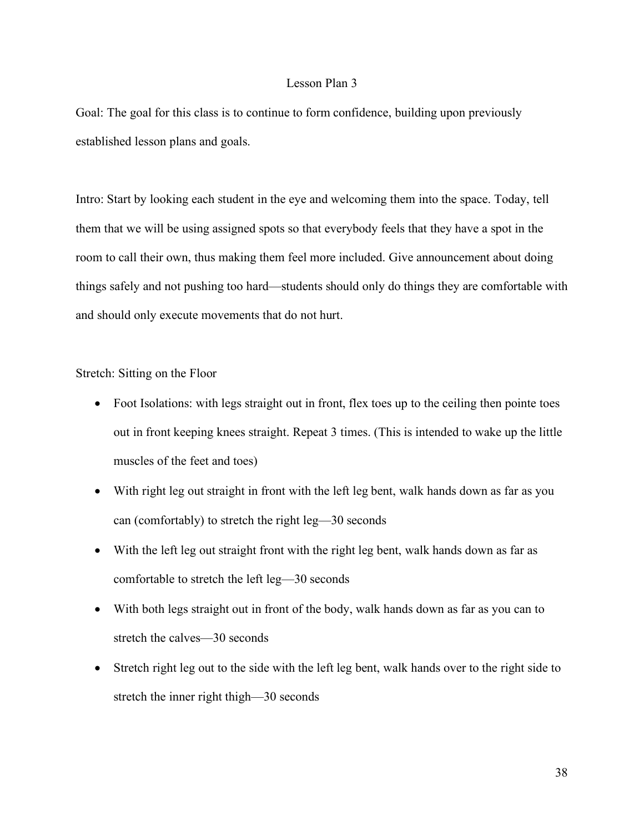#### Lesson Plan 3

Goal: The goal for this class is to continue to form confidence, building upon previously established lesson plans and goals.

Intro: Start by looking each student in the eye and welcoming them into the space. Today, tell them that we will be using assigned spots so that everybody feels that they have a spot in the room to call their own, thus making them feel more included. Give announcement about doing things safely and not pushing too hard—students should only do things they are comfortable with and should only execute movements that do not hurt.

Stretch: Sitting on the Floor

- Foot Isolations: with legs straight out in front, flex toes up to the ceiling then pointe toes out in front keeping knees straight. Repeat 3 times. (This is intended to wake up the little muscles of the feet and toes)
- With right leg out straight in front with the left leg bent, walk hands down as far as you can (comfortably) to stretch the right leg—30 seconds
- With the left leg out straight front with the right leg bent, walk hands down as far as comfortable to stretch the left leg—30 seconds
- With both legs straight out in front of the body, walk hands down as far as you can to stretch the calves—30 seconds
- Stretch right leg out to the side with the left leg bent, walk hands over to the right side to stretch the inner right thigh—30 seconds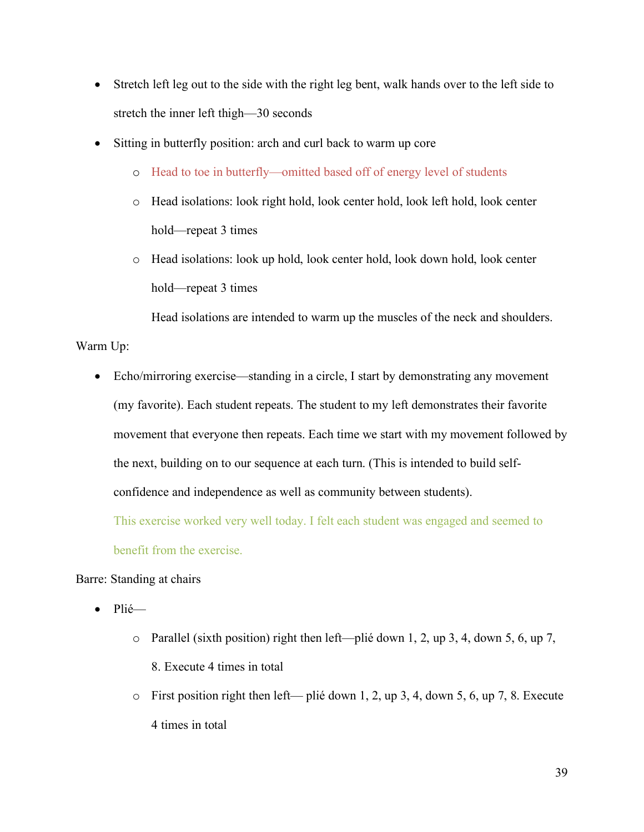- Stretch left leg out to the side with the right leg bent, walk hands over to the left side to stretch the inner left thigh—30 seconds
- Sitting in butterfly position: arch and curl back to warm up core
	- o Head to toe in butterfly—omitted based off of energy level of students
	- o Head isolations: look right hold, look center hold, look left hold, look center hold—repeat 3 times
	- o Head isolations: look up hold, look center hold, look down hold, look center hold—repeat 3 times

Head isolations are intended to warm up the muscles of the neck and shoulders.

Warm Up:

• Echo/mirroring exercise—standing in a circle, I start by demonstrating any movement (my favorite). Each student repeats. The student to my left demonstrates their favorite movement that everyone then repeats. Each time we start with my movement followed by the next, building on to our sequence at each turn. (This is intended to build selfconfidence and independence as well as community between students).

This exercise worked very well today. I felt each student was engaged and seemed to benefit from the exercise.

## Barre: Standing at chairs

- Plié
	- o Parallel (sixth position) right then left—plié down 1, 2, up 3, 4, down 5, 6, up 7, 8. Execute 4 times in total
	- o First position right then left— plié down 1, 2, up 3, 4, down 5, 6, up 7, 8. Execute 4 times in total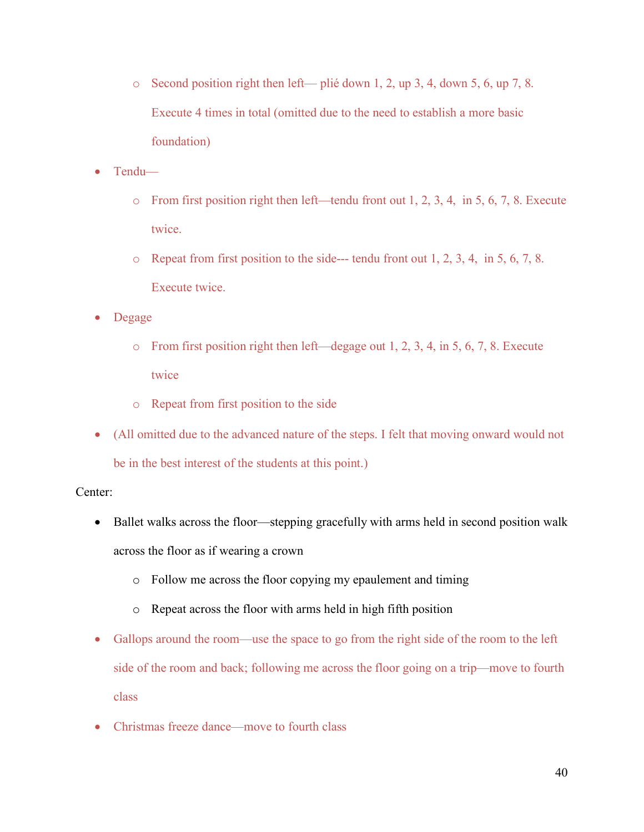- o Second position right then left— plié down 1, 2, up 3, 4, down 5, 6, up 7, 8. Execute 4 times in total (omitted due to the need to establish a more basic foundation)
- Tendu
	- o From first position right then left—tendu front out 1, 2, 3, 4, in 5, 6, 7, 8. Execute twice.
	- o Repeat from first position to the side--- tendu front out 1, 2, 3, 4, in 5, 6, 7, 8. Execute twice.
- Degage
	- o From first position right then left—degage out 1, 2, 3, 4, in 5, 6, 7, 8. Execute twice
	- o Repeat from first position to the side
- (All omitted due to the advanced nature of the steps. I felt that moving onward would not be in the best interest of the students at this point.)

## Center:

- Ballet walks across the floor—stepping gracefully with arms held in second position walk across the floor as if wearing a crown
	- o Follow me across the floor copying my epaulement and timing
	- o Repeat across the floor with arms held in high fifth position
- Gallops around the room—use the space to go from the right side of the room to the left side of the room and back; following me across the floor going on a trip—move to fourth class
- Christmas freeze dance—move to fourth class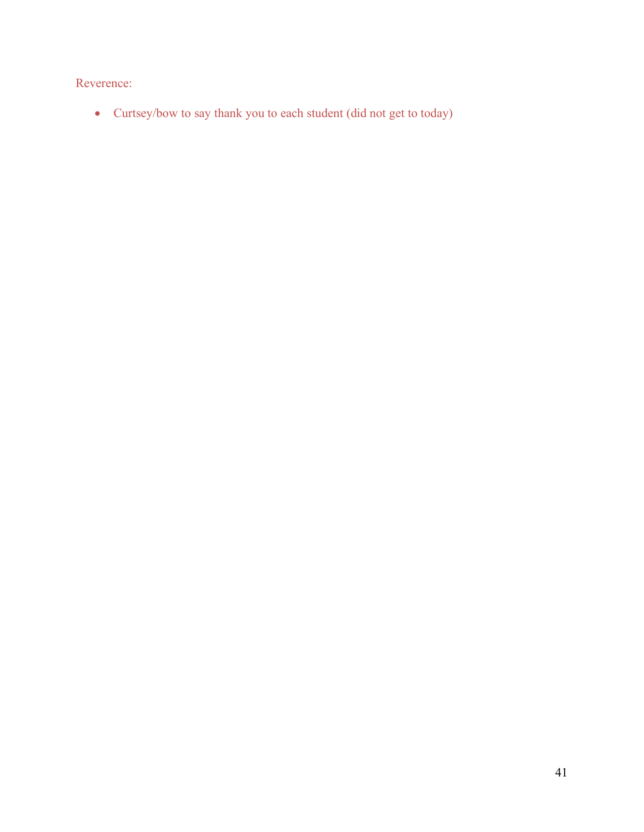Reverence:

• Curtsey/bow to say thank you to each student (did not get to today)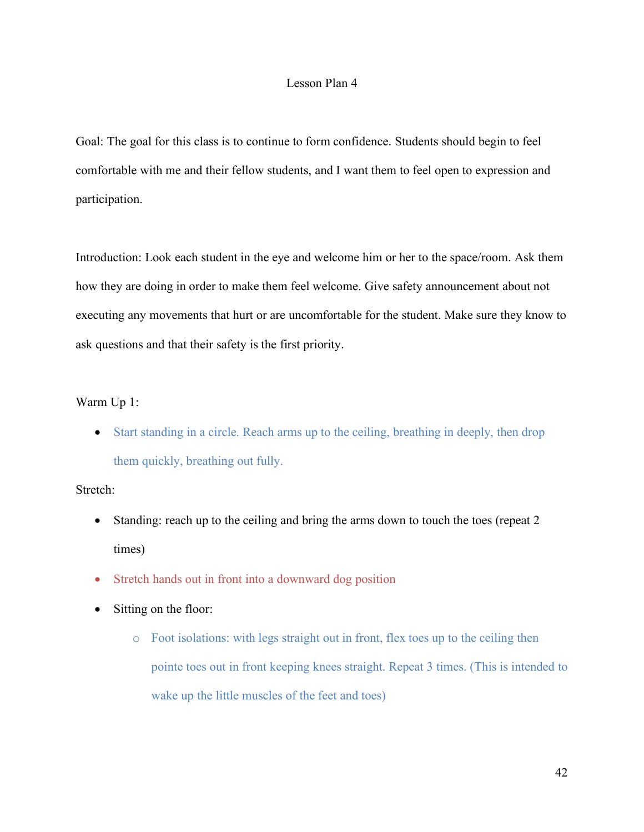#### Lesson Plan 4

Goal: The goal for this class is to continue to form confidence. Students should begin to feel comfortable with me and their fellow students, and I want them to feel open to expression and participation.

Introduction: Look each student in the eye and welcome him or her to the space/room. Ask them how they are doing in order to make them feel welcome. Give safety announcement about not executing any movements that hurt or are uncomfortable for the student. Make sure they know to ask questions and that their safety is the first priority.

#### Warm Up 1:

• Start standing in a circle. Reach arms up to the ceiling, breathing in deeply, then drop them quickly, breathing out fully.

#### Stretch:

- Standing: reach up to the ceiling and bring the arms down to touch the toes (repeat 2 times)
- Stretch hands out in front into a downward dog position
- Sitting on the floor:
	- o Foot isolations: with legs straight out in front, flex toes up to the ceiling then pointe toes out in front keeping knees straight. Repeat 3 times. (This is intended to wake up the little muscles of the feet and toes)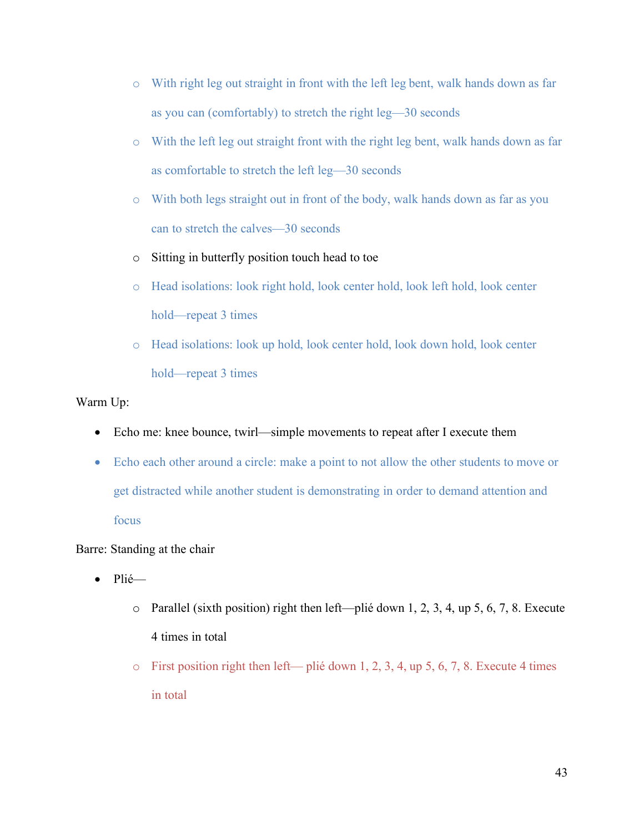- o With right leg out straight in front with the left leg bent, walk hands down as far as you can (comfortably) to stretch the right leg—30 seconds
- o With the left leg out straight front with the right leg bent, walk hands down as far as comfortable to stretch the left leg—30 seconds
- o With both legs straight out in front of the body, walk hands down as far as you can to stretch the calves—30 seconds
- o Sitting in butterfly position touch head to toe
- o Head isolations: look right hold, look center hold, look left hold, look center hold—repeat 3 times
- o Head isolations: look up hold, look center hold, look down hold, look center hold—repeat 3 times

Warm Up:

- Echo me: knee bounce, twirl—simple movements to repeat after I execute them
- Echo each other around a circle: make a point to not allow the other students to move or get distracted while another student is demonstrating in order to demand attention and focus

Barre: Standing at the chair

- Plié
	- o Parallel (sixth position) right then left—plié down 1, 2, 3, 4, up 5, 6, 7, 8. Execute 4 times in total
	- $\circ$  First position right then left— plié down 1, 2, 3, 4, up 5, 6, 7, 8. Execute 4 times in total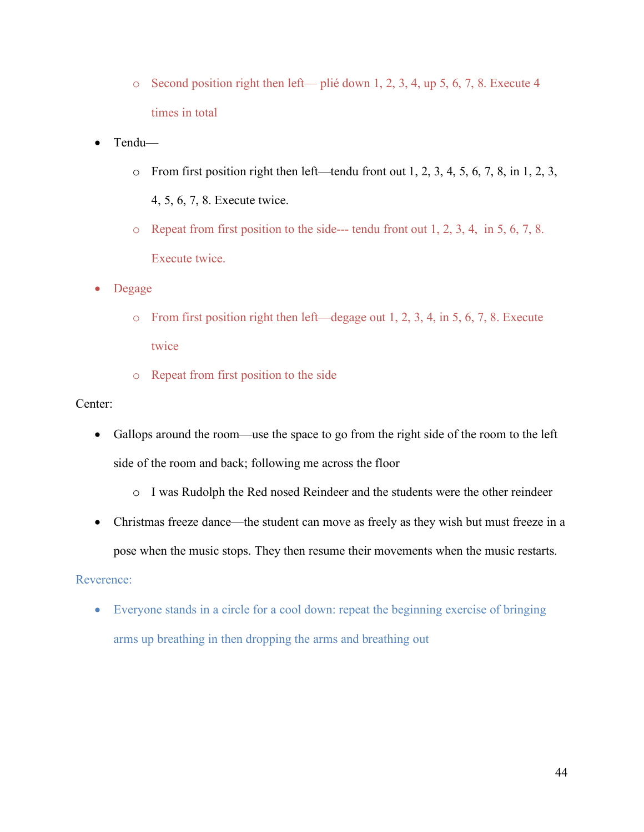- o Second position right then left— plié down 1, 2, 3, 4, up 5, 6, 7, 8. Execute 4 times in total
- Tendu—
	- $\circ$  From first position right then left—tendu front out 1, 2, 3, 4, 5, 6, 7, 8, in 1, 2, 3, 4, 5, 6, 7, 8. Execute twice.
	- o Repeat from first position to the side--- tendu front out 1, 2, 3, 4, in 5, 6, 7, 8. Execute twice.
- Degage
	- o From first position right then left—degage out 1, 2, 3, 4, in 5, 6, 7, 8. Execute twice
	- o Repeat from first position to the side

## Center:

- Gallops around the room—use the space to go from the right side of the room to the left side of the room and back; following me across the floor
	- o I was Rudolph the Red nosed Reindeer and the students were the other reindeer
- Christmas freeze dance—the student can move as freely as they wish but must freeze in a pose when the music stops. They then resume their movements when the music restarts.

## Reverence:

• Everyone stands in a circle for a cool down: repeat the beginning exercise of bringing arms up breathing in then dropping the arms and breathing out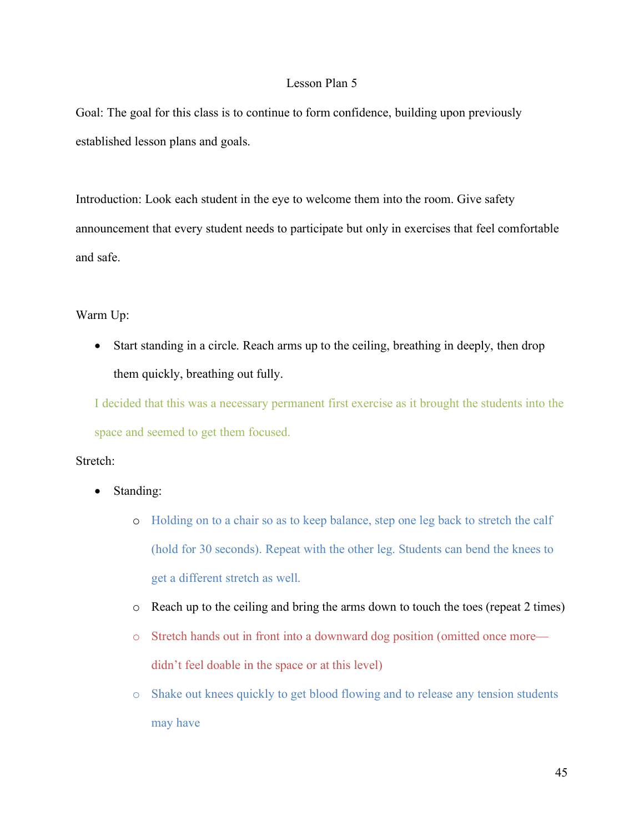#### Lesson Plan 5

Goal: The goal for this class is to continue to form confidence, building upon previously established lesson plans and goals.

Introduction: Look each student in the eye to welcome them into the room. Give safety announcement that every student needs to participate but only in exercises that feel comfortable and safe.

## Warm Up:

• Start standing in a circle. Reach arms up to the ceiling, breathing in deeply, then drop them quickly, breathing out fully.

I decided that this was a necessary permanent first exercise as it brought the students into the space and seemed to get them focused.

#### Stretch:

- Standing:
	- o Holding on to a chair so as to keep balance, step one leg back to stretch the calf (hold for 30 seconds). Repeat with the other leg. Students can bend the knees to get a different stretch as well.
	- o Reach up to the ceiling and bring the arms down to touch the toes (repeat 2 times)
	- o Stretch hands out in front into a downward dog position (omitted once more didn't feel doable in the space or at this level)
	- o Shake out knees quickly to get blood flowing and to release any tension students may have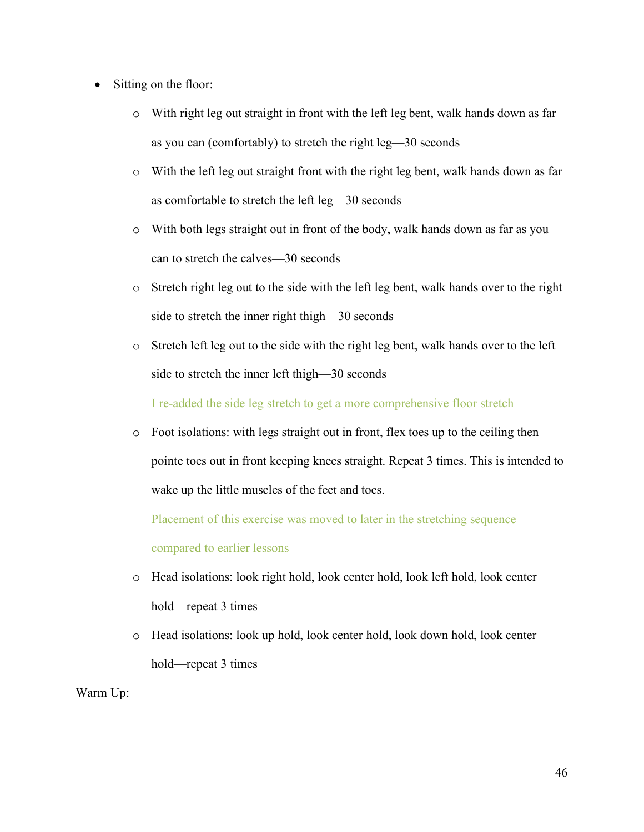- Sitting on the floor:
	- o With right leg out straight in front with the left leg bent, walk hands down as far as you can (comfortably) to stretch the right leg—30 seconds
	- o With the left leg out straight front with the right leg bent, walk hands down as far as comfortable to stretch the left leg—30 seconds
	- o With both legs straight out in front of the body, walk hands down as far as you can to stretch the calves—30 seconds
	- o Stretch right leg out to the side with the left leg bent, walk hands over to the right side to stretch the inner right thigh—30 seconds
	- o Stretch left leg out to the side with the right leg bent, walk hands over to the left side to stretch the inner left thigh—30 seconds

I re-added the side leg stretch to get a more comprehensive floor stretch

 $\circ$  Foot isolations: with legs straight out in front, flex toes up to the ceiling then pointe toes out in front keeping knees straight. Repeat 3 times. This is intended to wake up the little muscles of the feet and toes.

Placement of this exercise was moved to later in the stretching sequence

compared to earlier lessons

- o Head isolations: look right hold, look center hold, look left hold, look center hold—repeat 3 times
- o Head isolations: look up hold, look center hold, look down hold, look center hold—repeat 3 times

Warm Up: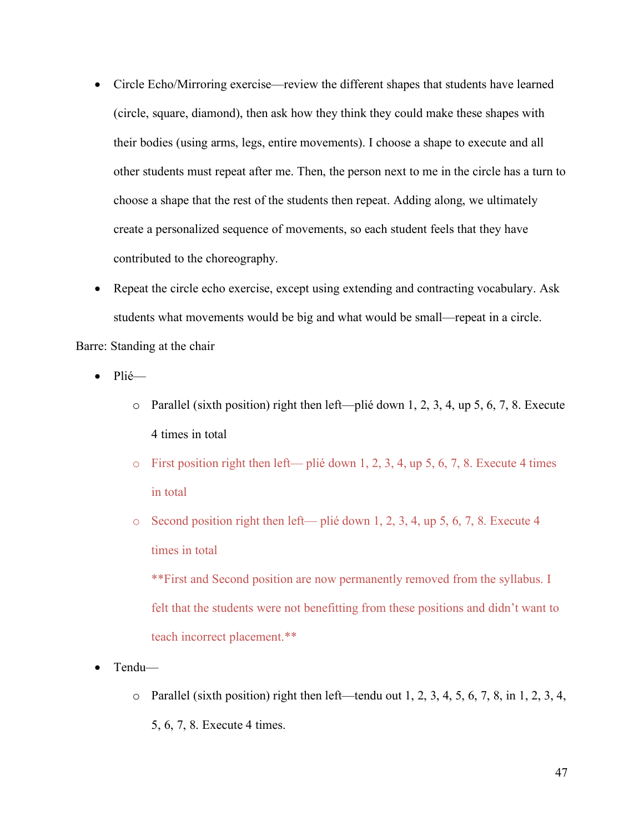- Circle Echo/Mirroring exercise—review the different shapes that students have learned (circle, square, diamond), then ask how they think they could make these shapes with their bodies (using arms, legs, entire movements). I choose a shape to execute and all other students must repeat after me. Then, the person next to me in the circle has a turn to choose a shape that the rest of the students then repeat. Adding along, we ultimately create a personalized sequence of movements, so each student feels that they have contributed to the choreography.
- Repeat the circle echo exercise, except using extending and contracting vocabulary. Ask students what movements would be big and what would be small—repeat in a circle. Barre: Standing at the chair

• Plié—

- o Parallel (sixth position) right then left—plié down 1, 2, 3, 4, up 5, 6, 7, 8. Execute 4 times in total
- $\circ$  First position right then left— plié down 1, 2, 3, 4, up 5, 6, 7, 8. Execute 4 times in total
- o Second position right then left— plié down 1, 2, 3, 4, up 5, 6, 7, 8. Execute 4 times in total

\*\*First and Second position are now permanently removed from the syllabus. I felt that the students were not benefitting from these positions and didn't want to teach incorrect placement.\*\*

- Tendu—
	- $\circ$  Parallel (sixth position) right then left—tendu out 1, 2, 3, 4, 5, 6, 7, 8, in 1, 2, 3, 4, 5, 6, 7, 8. Execute 4 times.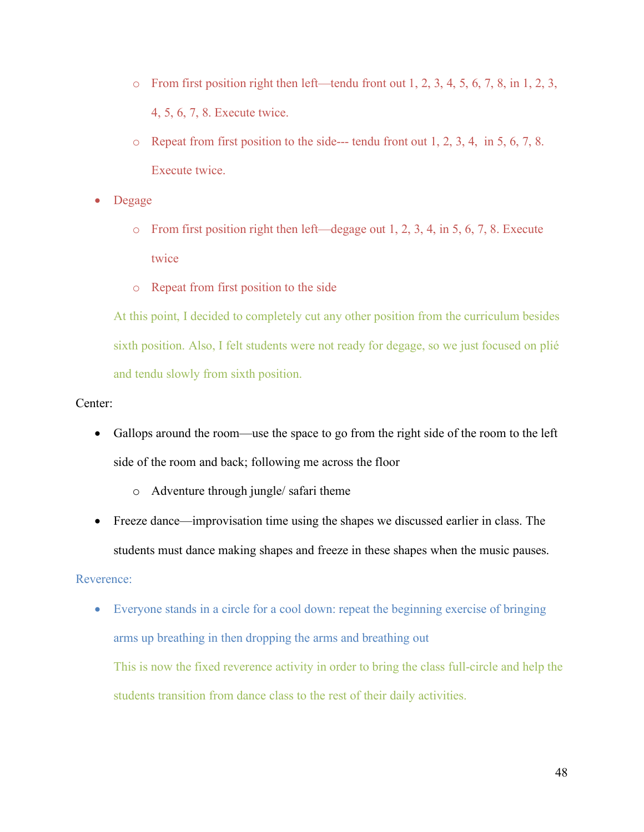- $\circ$  From first position right then left—tendu front out 1, 2, 3, 4, 5, 6, 7, 8, in 1, 2, 3, 4, 5, 6, 7, 8. Execute twice.
- o Repeat from first position to the side--- tendu front out 1, 2, 3, 4, in 5, 6, 7, 8. Execute twice.
- Degage
	- o From first position right then left—degage out 1, 2, 3, 4, in 5, 6, 7, 8. Execute twice
	- o Repeat from first position to the side

At this point, I decided to completely cut any other position from the curriculum besides sixth position. Also, I felt students were not ready for degage, so we just focused on plié and tendu slowly from sixth position.

## Center:

- Gallops around the room—use the space to go from the right side of the room to the left side of the room and back; following me across the floor
	- o Adventure through jungle/ safari theme
- Freeze dance—improvisation time using the shapes we discussed earlier in class. The students must dance making shapes and freeze in these shapes when the music pauses.

## Reverence:

• Everyone stands in a circle for a cool down: repeat the beginning exercise of bringing arms up breathing in then dropping the arms and breathing out This is now the fixed reverence activity in order to bring the class full-circle and help the students transition from dance class to the rest of their daily activities.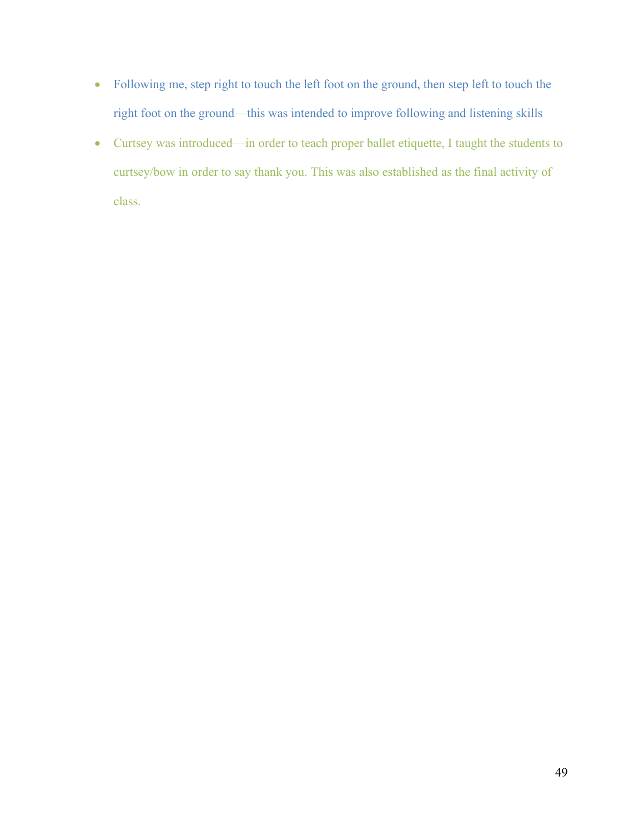- Following me, step right to touch the left foot on the ground, then step left to touch the right foot on the ground—this was intended to improve following and listening skills
- Curtsey was introduced—in order to teach proper ballet etiquette, I taught the students to curtsey/bow in order to say thank you. This was also established as the final activity of class.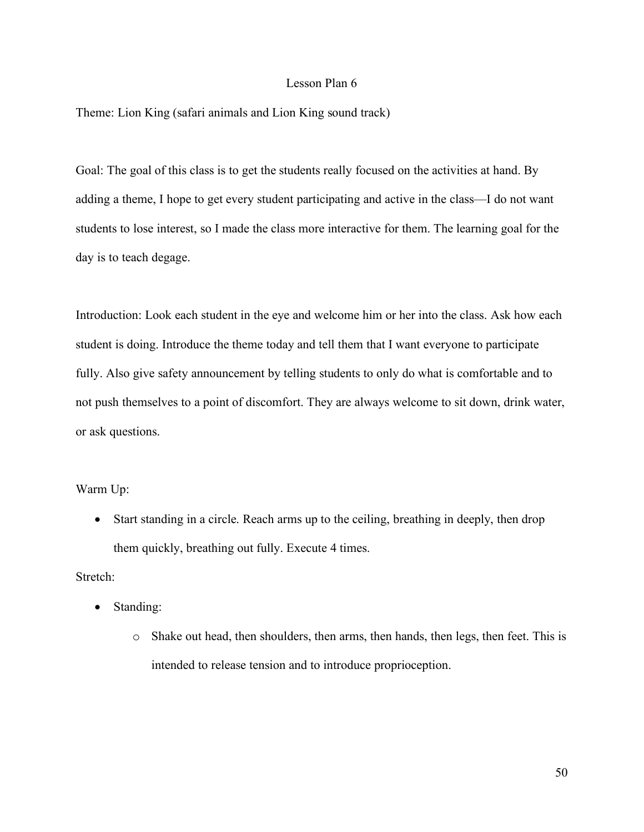#### Lesson Plan 6

Theme: Lion King (safari animals and Lion King sound track)

Goal: The goal of this class is to get the students really focused on the activities at hand. By adding a theme, I hope to get every student participating and active in the class—I do not want students to lose interest, so I made the class more interactive for them. The learning goal for the day is to teach degage.

Introduction: Look each student in the eye and welcome him or her into the class. Ask how each student is doing. Introduce the theme today and tell them that I want everyone to participate fully. Also give safety announcement by telling students to only do what is comfortable and to not push themselves to a point of discomfort. They are always welcome to sit down, drink water, or ask questions.

#### Warm Up:

• Start standing in a circle. Reach arms up to the ceiling, breathing in deeply, then drop them quickly, breathing out fully. Execute 4 times.

#### Stretch:

- Standing:
	- o Shake out head, then shoulders, then arms, then hands, then legs, then feet. This is intended to release tension and to introduce proprioception.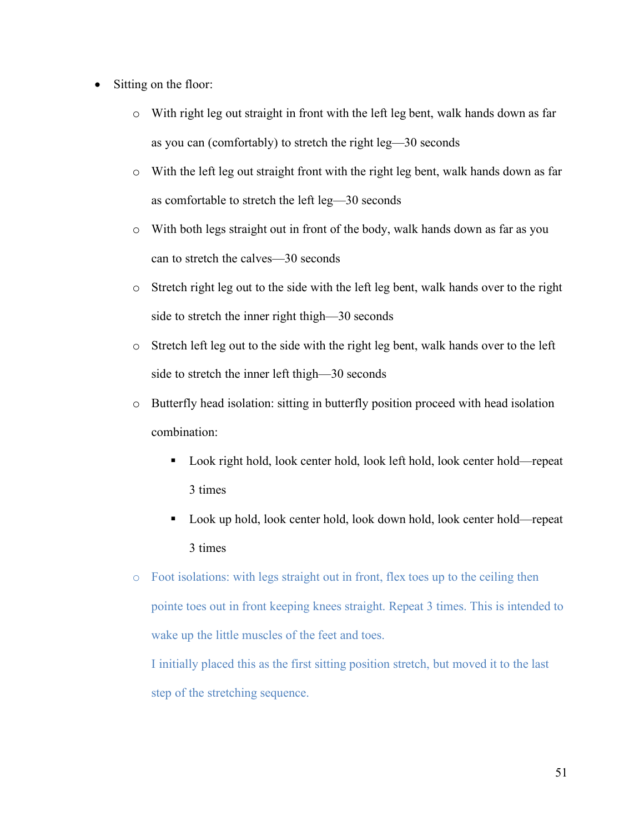- Sitting on the floor:
	- o With right leg out straight in front with the left leg bent, walk hands down as far as you can (comfortably) to stretch the right leg—30 seconds
	- o With the left leg out straight front with the right leg bent, walk hands down as far as comfortable to stretch the left leg—30 seconds
	- o With both legs straight out in front of the body, walk hands down as far as you can to stretch the calves—30 seconds
	- o Stretch right leg out to the side with the left leg bent, walk hands over to the right side to stretch the inner right thigh—30 seconds
	- o Stretch left leg out to the side with the right leg bent, walk hands over to the left side to stretch the inner left thigh—30 seconds
	- o Butterfly head isolation: sitting in butterfly position proceed with head isolation combination:
		- Look right hold, look center hold, look left hold, look center hold—repeat 3 times
		- Look up hold, look center hold, look down hold, look center hold—repeat 3 times
	- o Foot isolations: with legs straight out in front, flex toes up to the ceiling then pointe toes out in front keeping knees straight. Repeat 3 times. This is intended to wake up the little muscles of the feet and toes.

I initially placed this as the first sitting position stretch, but moved it to the last step of the stretching sequence.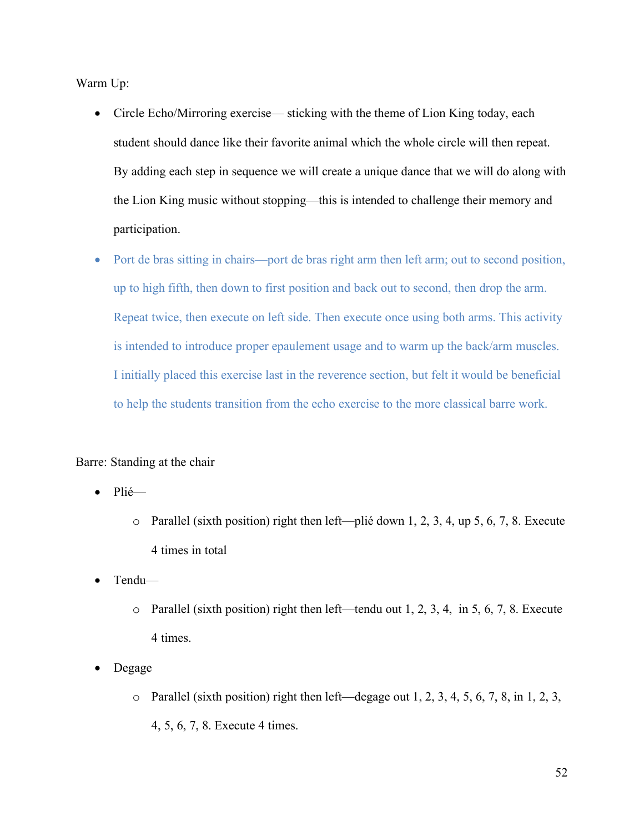Warm Up:

- Circle Echo/Mirroring exercise— sticking with the theme of Lion King today, each student should dance like their favorite animal which the whole circle will then repeat. By adding each step in sequence we will create a unique dance that we will do along with the Lion King music without stopping—this is intended to challenge their memory and participation.
- Port de bras sitting in chairs—port de bras right arm then left arm; out to second position, up to high fifth, then down to first position and back out to second, then drop the arm. Repeat twice, then execute on left side. Then execute once using both arms. This activity is intended to introduce proper epaulement usage and to warm up the back/arm muscles. I initially placed this exercise last in the reverence section, but felt it would be beneficial to help the students transition from the echo exercise to the more classical barre work.

Barre: Standing at the chair

- Plié
	- o Parallel (sixth position) right then left—plié down 1, 2, 3, 4, up 5, 6, 7, 8. Execute 4 times in total
- Tendu
	- o Parallel (sixth position) right then left—tendu out 1, 2, 3, 4, in 5, 6, 7, 8. Execute 4 times.
- Degage
	- $\circ$  Parallel (sixth position) right then left—degage out 1, 2, 3, 4, 5, 6, 7, 8, in 1, 2, 3, 4, 5, 6, 7, 8. Execute 4 times.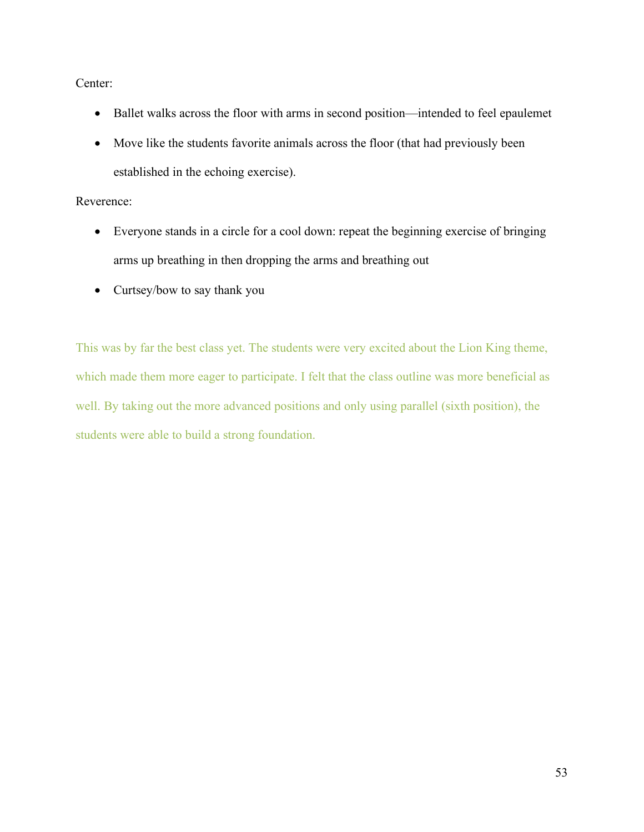Center:

- Ballet walks across the floor with arms in second position—intended to feel epaulemet
- Move like the students favorite animals across the floor (that had previously been established in the echoing exercise).

## Reverence:

- Everyone stands in a circle for a cool down: repeat the beginning exercise of bringing arms up breathing in then dropping the arms and breathing out
- Curtsey/bow to say thank you

This was by far the best class yet. The students were very excited about the Lion King theme, which made them more eager to participate. I felt that the class outline was more beneficial as well. By taking out the more advanced positions and only using parallel (sixth position), the students were able to build a strong foundation.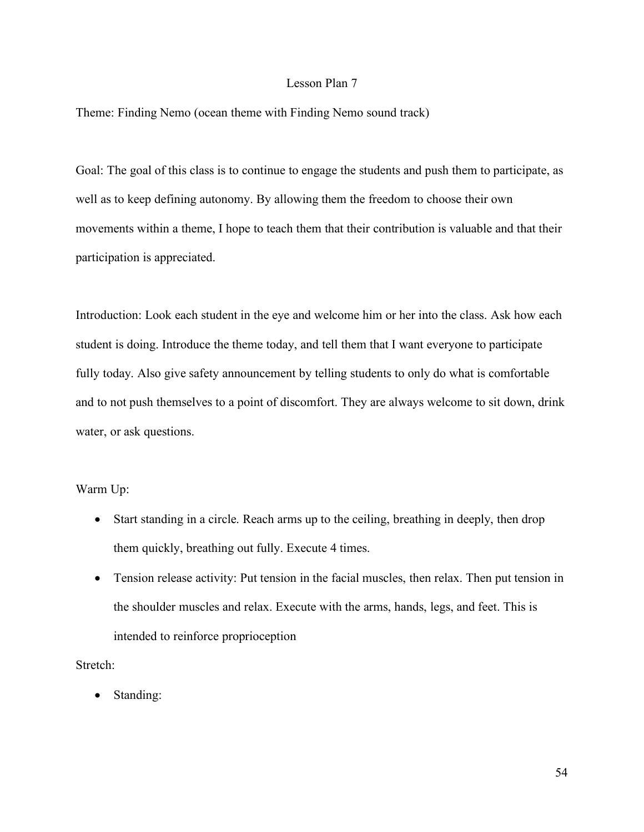#### Lesson Plan 7

Theme: Finding Nemo (ocean theme with Finding Nemo sound track)

Goal: The goal of this class is to continue to engage the students and push them to participate, as well as to keep defining autonomy. By allowing them the freedom to choose their own movements within a theme, I hope to teach them that their contribution is valuable and that their participation is appreciated.

Introduction: Look each student in the eye and welcome him or her into the class. Ask how each student is doing. Introduce the theme today, and tell them that I want everyone to participate fully today. Also give safety announcement by telling students to only do what is comfortable and to not push themselves to a point of discomfort. They are always welcome to sit down, drink water, or ask questions.

#### Warm Up:

- Start standing in a circle. Reach arms up to the ceiling, breathing in deeply, then drop them quickly, breathing out fully. Execute 4 times.
- Tension release activity: Put tension in the facial muscles, then relax. Then put tension in the shoulder muscles and relax. Execute with the arms, hands, legs, and feet. This is intended to reinforce proprioception

Stretch:

• Standing: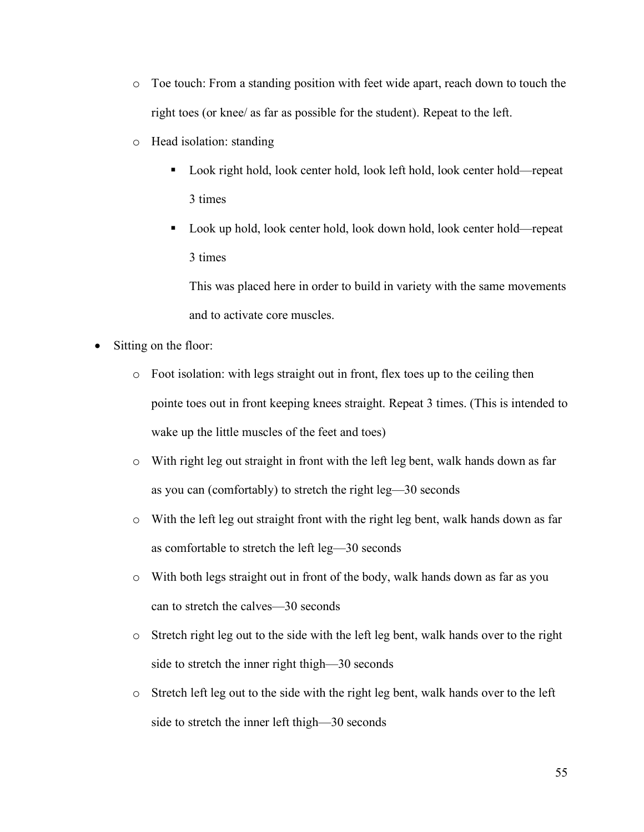- o Toe touch: From a standing position with feet wide apart, reach down to touch the right toes (or knee/ as far as possible for the student). Repeat to the left.
- o Head isolation: standing
	- Look right hold, look center hold, look left hold, look center hold—repeat 3 times
	- Look up hold, look center hold, look down hold, look center hold—repeat 3 times

This was placed here in order to build in variety with the same movements and to activate core muscles.

- Sitting on the floor:
	- o Foot isolation: with legs straight out in front, flex toes up to the ceiling then pointe toes out in front keeping knees straight. Repeat 3 times. (This is intended to wake up the little muscles of the feet and toes)
	- o With right leg out straight in front with the left leg bent, walk hands down as far as you can (comfortably) to stretch the right leg—30 seconds
	- o With the left leg out straight front with the right leg bent, walk hands down as far as comfortable to stretch the left leg—30 seconds
	- o With both legs straight out in front of the body, walk hands down as far as you can to stretch the calves—30 seconds
	- o Stretch right leg out to the side with the left leg bent, walk hands over to the right side to stretch the inner right thigh—30 seconds
	- o Stretch left leg out to the side with the right leg bent, walk hands over to the left side to stretch the inner left thigh—30 seconds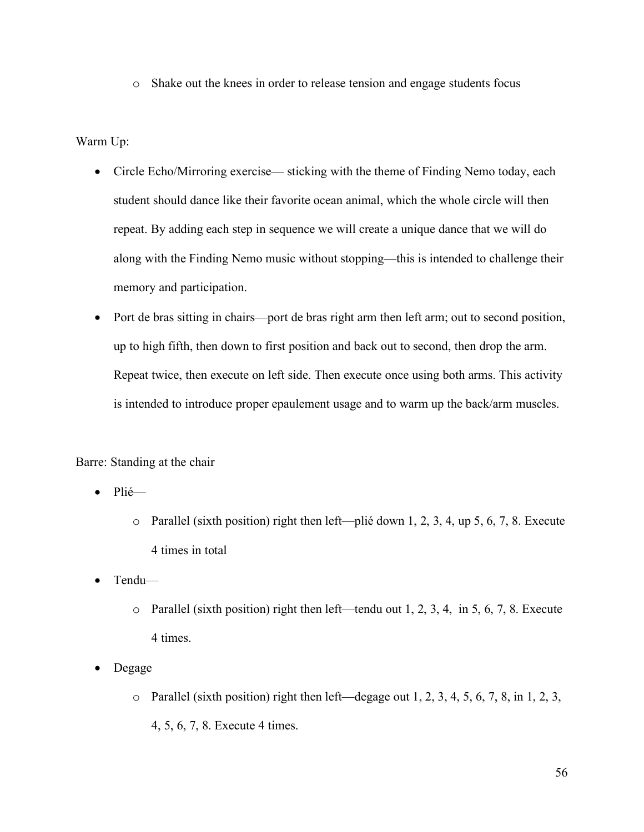o Shake out the knees in order to release tension and engage students focus

Warm Up:

- Circle Echo/Mirroring exercise— sticking with the theme of Finding Nemo today, each student should dance like their favorite ocean animal, which the whole circle will then repeat. By adding each step in sequence we will create a unique dance that we will do along with the Finding Nemo music without stopping—this is intended to challenge their memory and participation.
- Port de bras sitting in chairs—port de bras right arm then left arm; out to second position, up to high fifth, then down to first position and back out to second, then drop the arm. Repeat twice, then execute on left side. Then execute once using both arms. This activity is intended to introduce proper epaulement usage and to warm up the back/arm muscles.

Barre: Standing at the chair

- Plié
	- o Parallel (sixth position) right then left—plié down 1, 2, 3, 4, up 5, 6, 7, 8. Execute 4 times in total
- Tendu
	- o Parallel (sixth position) right then left—tendu out 1, 2, 3, 4, in 5, 6, 7, 8. Execute 4 times.
- Degage
	- $\circ$  Parallel (sixth position) right then left—degage out 1, 2, 3, 4, 5, 6, 7, 8, in 1, 2, 3, 4, 5, 6, 7, 8. Execute 4 times.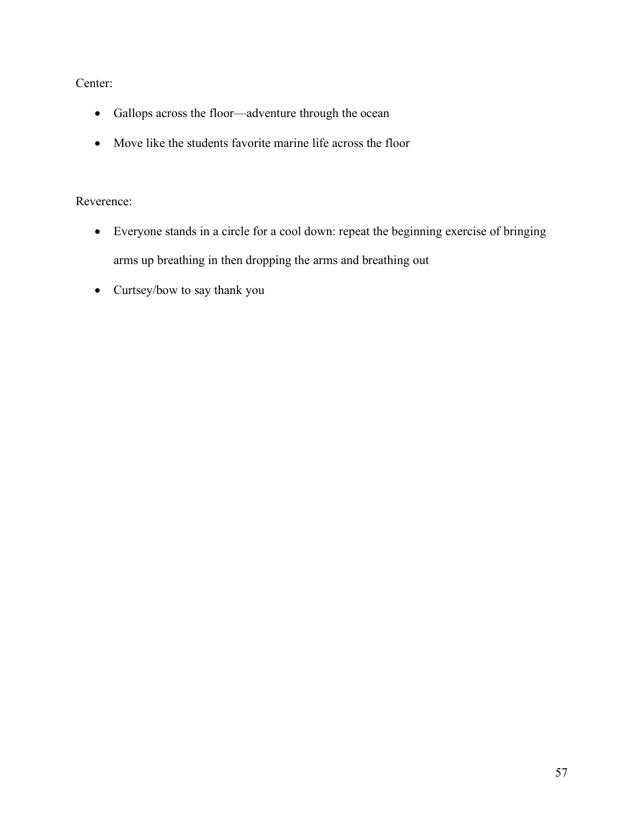Center:

- Gallops across the floor—adventure through the ocean
- Move like the students favorite marine life across the floor

# Reverence:

- Everyone stands in a circle for a cool down: repeat the beginning exercise of bringing arms up breathing in then dropping the arms and breathing out
- Curtsey/bow to say thank you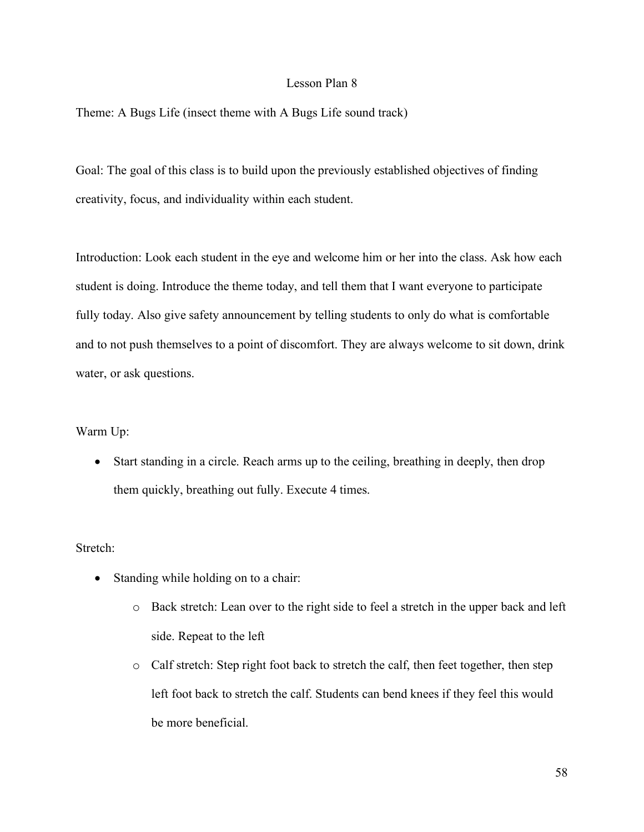#### Lesson Plan 8

Theme: A Bugs Life (insect theme with A Bugs Life sound track)

Goal: The goal of this class is to build upon the previously established objectives of finding creativity, focus, and individuality within each student.

Introduction: Look each student in the eye and welcome him or her into the class. Ask how each student is doing. Introduce the theme today, and tell them that I want everyone to participate fully today. Also give safety announcement by telling students to only do what is comfortable and to not push themselves to a point of discomfort. They are always welcome to sit down, drink water, or ask questions.

Warm Up:

• Start standing in a circle. Reach arms up to the ceiling, breathing in deeply, then drop them quickly, breathing out fully. Execute 4 times.

Stretch:

- Standing while holding on to a chair:
	- o Back stretch: Lean over to the right side to feel a stretch in the upper back and left side. Repeat to the left
	- o Calf stretch: Step right foot back to stretch the calf, then feet together, then step left foot back to stretch the calf. Students can bend knees if they feel this would be more beneficial.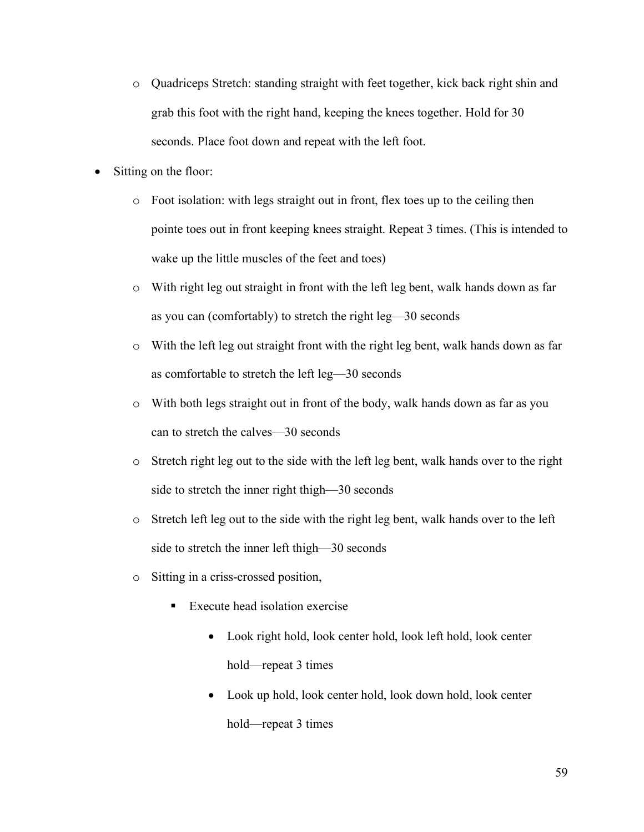- o Quadriceps Stretch: standing straight with feet together, kick back right shin and grab this foot with the right hand, keeping the knees together. Hold for 30 seconds. Place foot down and repeat with the left foot.
- Sitting on the floor:
	- $\circ$  Foot isolation: with legs straight out in front, flex toes up to the ceiling then pointe toes out in front keeping knees straight. Repeat 3 times. (This is intended to wake up the little muscles of the feet and toes)
	- o With right leg out straight in front with the left leg bent, walk hands down as far as you can (comfortably) to stretch the right leg—30 seconds
	- o With the left leg out straight front with the right leg bent, walk hands down as far as comfortable to stretch the left leg—30 seconds
	- o With both legs straight out in front of the body, walk hands down as far as you can to stretch the calves—30 seconds
	- o Stretch right leg out to the side with the left leg bent, walk hands over to the right side to stretch the inner right thigh—30 seconds
	- o Stretch left leg out to the side with the right leg bent, walk hands over to the left side to stretch the inner left thigh—30 seconds
	- o Sitting in a criss-crossed position,
		- Execute head isolation exercise
			- Look right hold, look center hold, look left hold, look center hold—repeat 3 times
			- Look up hold, look center hold, look down hold, look center hold—repeat 3 times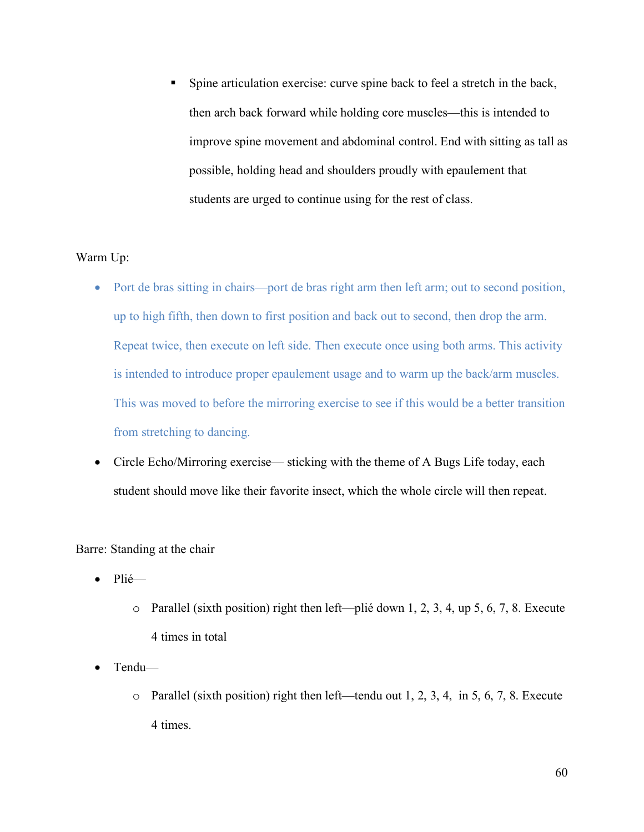Spine articulation exercise: curve spine back to feel a stretch in the back, then arch back forward while holding core muscles—this is intended to improve spine movement and abdominal control. End with sitting as tall as possible, holding head and shoulders proudly with epaulement that students are urged to continue using for the rest of class.

## Warm Up:

- Port de bras sitting in chairs—port de bras right arm then left arm; out to second position, up to high fifth, then down to first position and back out to second, then drop the arm. Repeat twice, then execute on left side. Then execute once using both arms. This activity is intended to introduce proper epaulement usage and to warm up the back/arm muscles. This was moved to before the mirroring exercise to see if this would be a better transition from stretching to dancing.
- Circle Echo/Mirroring exercise— sticking with the theme of A Bugs Life today, each student should move like their favorite insect, which the whole circle will then repeat.

Barre: Standing at the chair

- Plié
	- o Parallel (sixth position) right then left—plié down 1, 2, 3, 4, up 5, 6, 7, 8. Execute 4 times in total
- Tendu
	- o Parallel (sixth position) right then left—tendu out 1, 2, 3, 4, in 5, 6, 7, 8. Execute 4 times.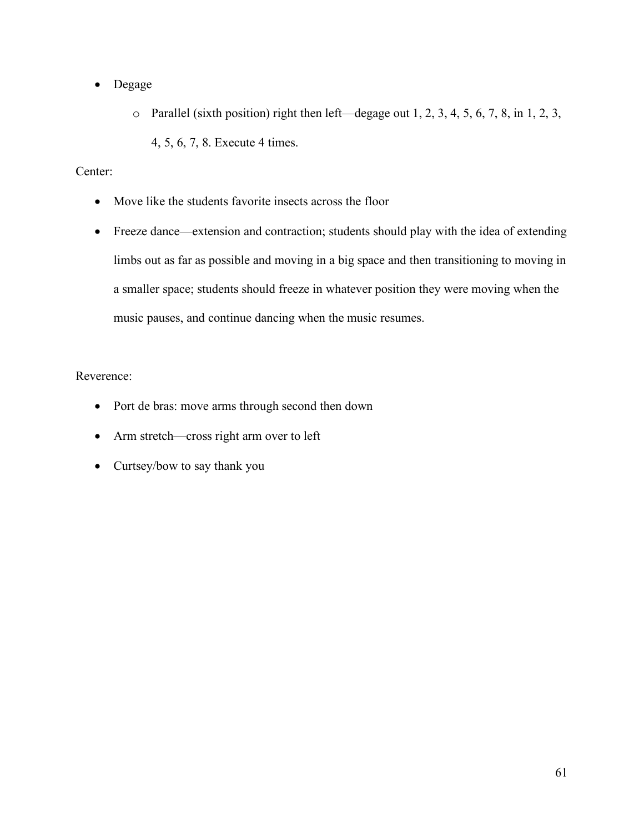- Degage
	- o Parallel (sixth position) right then left—degage out 1, 2, 3, 4, 5, 6, 7, 8, in 1, 2, 3,
		- 4, 5, 6, 7, 8. Execute 4 times.

# Center:

- Move like the students favorite insects across the floor
- Freeze dance—extension and contraction; students should play with the idea of extending limbs out as far as possible and moving in a big space and then transitioning to moving in a smaller space; students should freeze in whatever position they were moving when the music pauses, and continue dancing when the music resumes.

# Reverence:

- Port de bras: move arms through second then down
- Arm stretch—cross right arm over to left
- Curtsey/bow to say thank you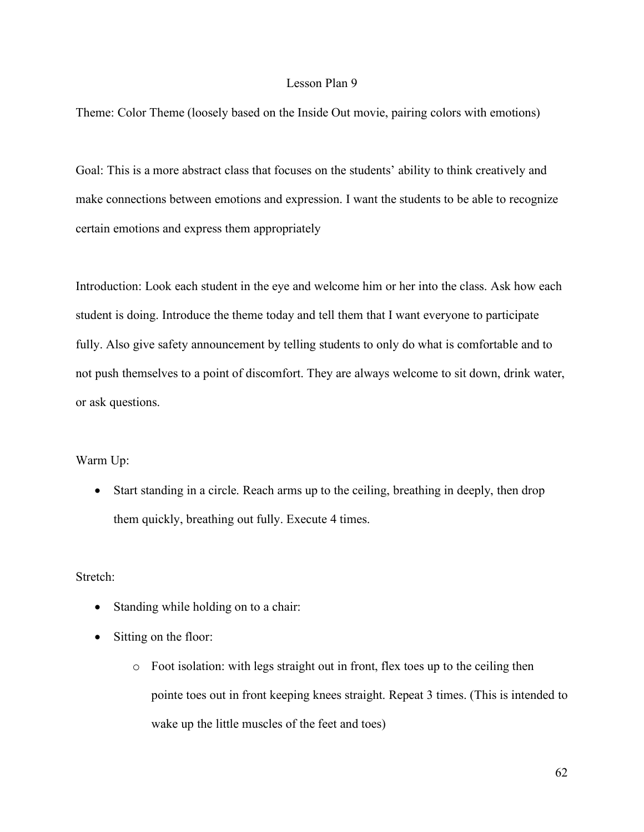## Lesson Plan 9

Theme: Color Theme (loosely based on the Inside Out movie, pairing colors with emotions)

Goal: This is a more abstract class that focuses on the students' ability to think creatively and make connections between emotions and expression. I want the students to be able to recognize certain emotions and express them appropriately

Introduction: Look each student in the eye and welcome him or her into the class. Ask how each student is doing. Introduce the theme today and tell them that I want everyone to participate fully. Also give safety announcement by telling students to only do what is comfortable and to not push themselves to a point of discomfort. They are always welcome to sit down, drink water, or ask questions.

#### Warm Up:

• Start standing in a circle. Reach arms up to the ceiling, breathing in deeply, then drop them quickly, breathing out fully. Execute 4 times.

#### Stretch:

- Standing while holding on to a chair:
- Sitting on the floor:
	- o Foot isolation: with legs straight out in front, flex toes up to the ceiling then pointe toes out in front keeping knees straight. Repeat 3 times. (This is intended to wake up the little muscles of the feet and toes)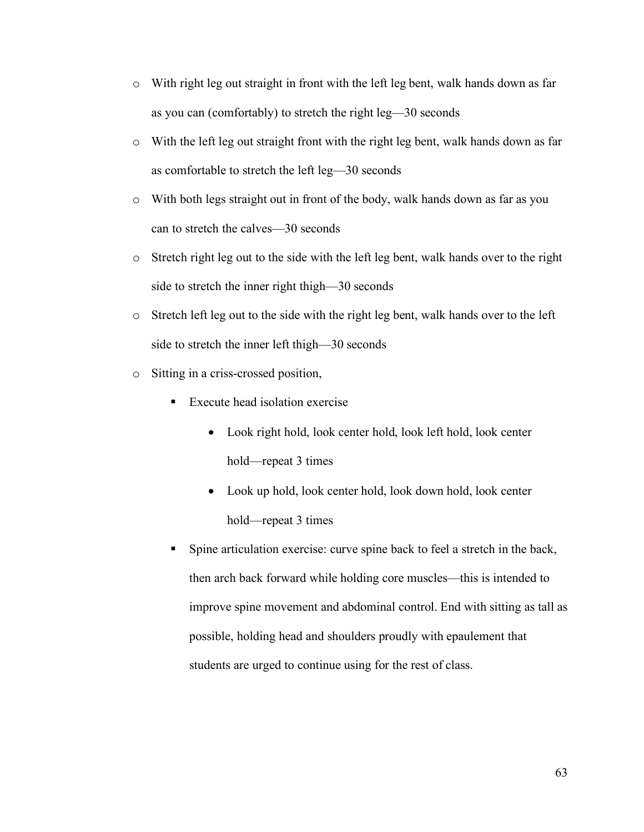- o With right leg out straight in front with the left leg bent, walk hands down as far as you can (comfortably) to stretch the right leg—30 seconds
- o With the left leg out straight front with the right leg bent, walk hands down as far as comfortable to stretch the left leg—30 seconds
- o With both legs straight out in front of the body, walk hands down as far as you can to stretch the calves—30 seconds
- $\circ$  Stretch right leg out to the side with the left leg bent, walk hands over to the right side to stretch the inner right thigh—30 seconds
- o Stretch left leg out to the side with the right leg bent, walk hands over to the left side to stretch the inner left thigh—30 seconds
- o Sitting in a criss-crossed position,
	- Execute head isolation exercise
		- Look right hold, look center hold, look left hold, look center hold—repeat 3 times
		- Look up hold, look center hold, look down hold, look center hold—repeat 3 times
	- Spine articulation exercise: curve spine back to feel a stretch in the back, then arch back forward while holding core muscles—this is intended to improve spine movement and abdominal control. End with sitting as tall as possible, holding head and shoulders proudly with epaulement that students are urged to continue using for the rest of class.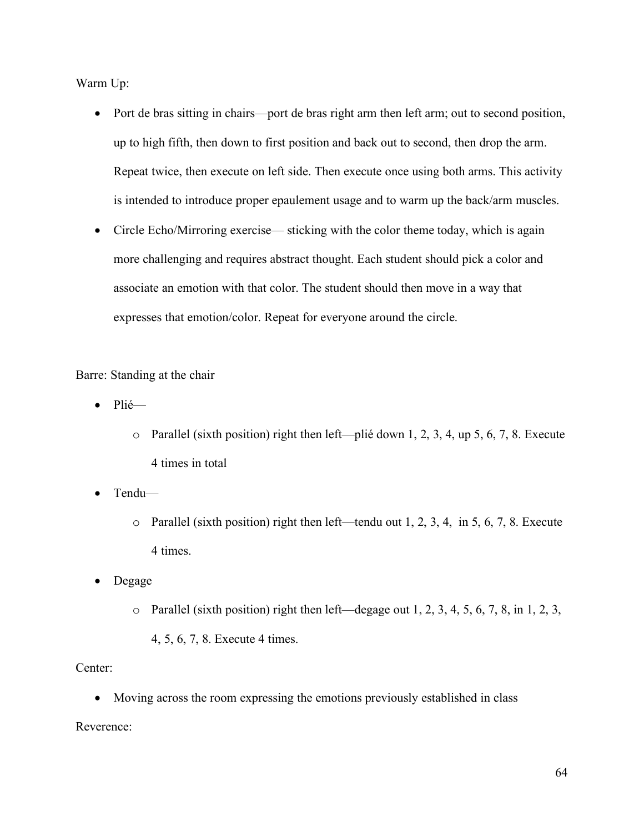Warm Up:

- Port de bras sitting in chairs—port de bras right arm then left arm; out to second position, up to high fifth, then down to first position and back out to second, then drop the arm. Repeat twice, then execute on left side. Then execute once using both arms. This activity is intended to introduce proper epaulement usage and to warm up the back/arm muscles.
- Circle Echo/Mirroring exercise— sticking with the color theme today, which is again more challenging and requires abstract thought. Each student should pick a color and associate an emotion with that color. The student should then move in a way that expresses that emotion/color. Repeat for everyone around the circle.

Barre: Standing at the chair

- Plié
	- o Parallel (sixth position) right then left—plié down 1, 2, 3, 4, up 5, 6, 7, 8. Execute 4 times in total
- Tendu
	- o Parallel (sixth position) right then left—tendu out 1, 2, 3, 4, in 5, 6, 7, 8. Execute 4 times.
- Degage
	- $\circ$  Parallel (sixth position) right then left—degage out 1, 2, 3, 4, 5, 6, 7, 8, in 1, 2, 3,
		- 4, 5, 6, 7, 8. Execute 4 times.

## Center:

• Moving across the room expressing the emotions previously established in class

Reverence: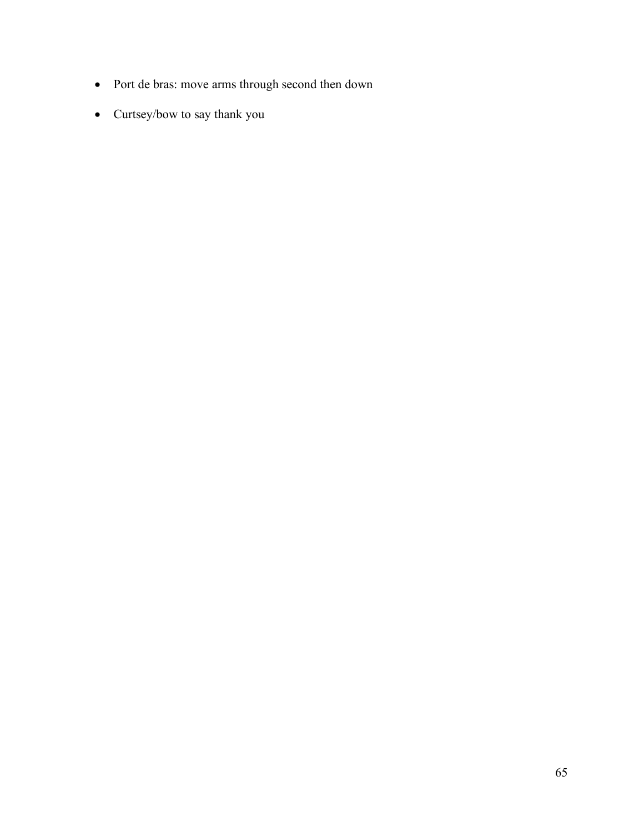- Port de bras: move arms through second then down
- Curtsey/bow to say thank you